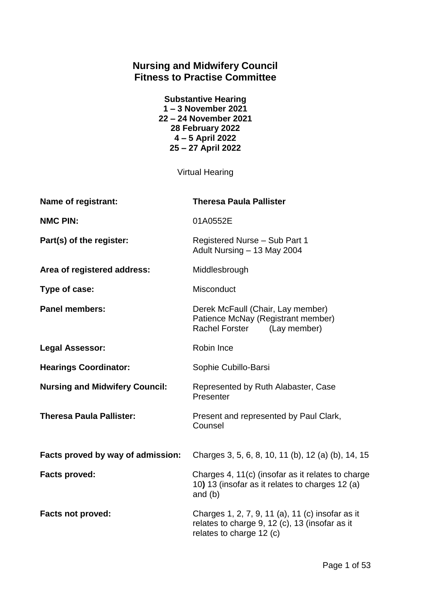# **Nursing and Midwifery Council Fitness to Practise Committee**

| <b>Substantive Hearing</b> |
|----------------------------|
| 1-3 November 2021          |
| 22 - 24 November 2021      |
| 28 February 2022           |
| 4-5 April 2022             |
| 25 - 27 April 2022         |

Virtual Hearing

| Name of registrant:                   | <b>Theresa Paula Pallister</b>                                                                                                 |
|---------------------------------------|--------------------------------------------------------------------------------------------------------------------------------|
| <b>NMC PIN:</b>                       | 01A0552E                                                                                                                       |
| Part(s) of the register:              | Registered Nurse - Sub Part 1<br>Adult Nursing - 13 May 2004                                                                   |
| Area of registered address:           | Middlesbrough                                                                                                                  |
| Type of case:                         | Misconduct                                                                                                                     |
| <b>Panel members:</b>                 | Derek McFaull (Chair, Lay member)<br>Patience McNay (Registrant member)<br>Rachel Forster<br>(Lay member)                      |
| <b>Legal Assessor:</b>                | Robin Ince                                                                                                                     |
| <b>Hearings Coordinator:</b>          | Sophie Cubillo-Barsi                                                                                                           |
| <b>Nursing and Midwifery Council:</b> | Represented by Ruth Alabaster, Case<br>Presenter                                                                               |
| <b>Theresa Paula Pallister:</b>       | Present and represented by Paul Clark,<br>Counsel                                                                              |
| Facts proved by way of admission:     | Charges 3, 5, 6, 8, 10, 11 (b), 12 (a) (b), 14, 15                                                                             |
| <b>Facts proved:</b>                  | Charges 4, 11(c) (insofar as it relates to charge<br>10) 13 (insofar as it relates to charges 12 (a)<br>and $(b)$              |
| <b>Facts not proved:</b>              | Charges 1, 2, 7, 9, 11 (a), 11 (c) insofar as it<br>relates to charge 9, 12 (c), 13 (insofar as it<br>relates to charge 12 (c) |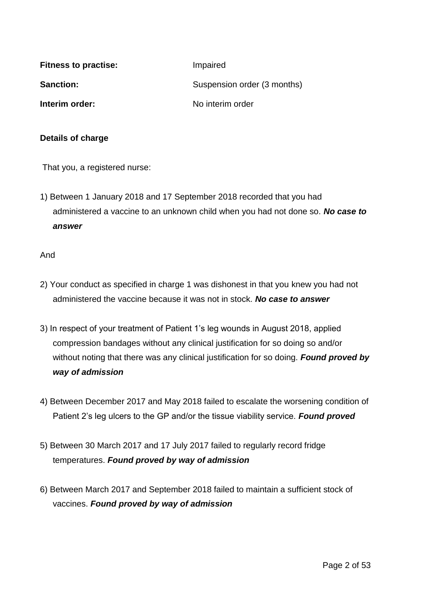| <b>Fitness to practise:</b> | Impaired                    |
|-----------------------------|-----------------------------|
| <b>Sanction:</b>            | Suspension order (3 months) |
| Interim order:              | No interim order            |

#### **Details of charge**

That you, a registered nurse:

1) Between 1 January 2018 and 17 September 2018 recorded that you had administered a vaccine to an unknown child when you had not done so. *No case to answer*

And

- 2) Your conduct as specified in charge 1 was dishonest in that you knew you had not administered the vaccine because it was not in stock. *No case to answer*
- 3) In respect of your treatment of Patient 1's leg wounds in August 2018, applied compression bandages without any clinical justification for so doing so and/or without noting that there was any clinical justification for so doing. *Found proved by way of admission*
- 4) Between December 2017 and May 2018 failed to escalate the worsening condition of Patient 2's leg ulcers to the GP and/or the tissue viability service. *Found proved*
- 5) Between 30 March 2017 and 17 July 2017 failed to regularly record fridge temperatures. *Found proved by way of admission*
- 6) Between March 2017 and September 2018 failed to maintain a sufficient stock of vaccines. *Found proved by way of admission*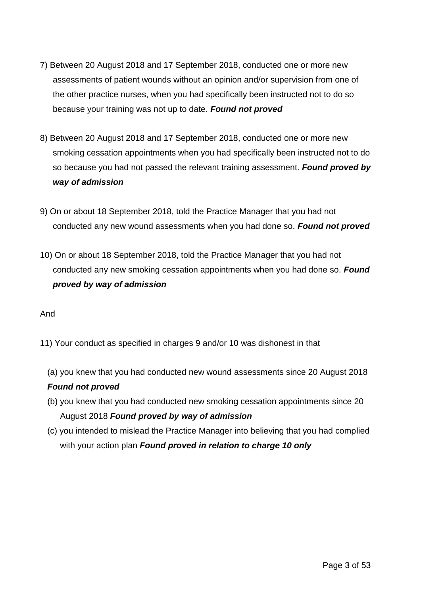- 7) Between 20 August 2018 and 17 September 2018, conducted one or more new assessments of patient wounds without an opinion and/or supervision from one of the other practice nurses, when you had specifically been instructed not to do so because your training was not up to date. *Found not proved*
- 8) Between 20 August 2018 and 17 September 2018, conducted one or more new smoking cessation appointments when you had specifically been instructed not to do so because you had not passed the relevant training assessment. *Found proved by way of admission*
- 9) On or about 18 September 2018, told the Practice Manager that you had not conducted any new wound assessments when you had done so. *Found not proved*
- 10) On or about 18 September 2018, told the Practice Manager that you had not conducted any new smoking cessation appointments when you had done so. *Found proved by way of admission*

And

- 11) Your conduct as specified in charges 9 and/or 10 was dishonest in that
	- (a) you knew that you had conducted new wound assessments since 20 August 2018 *Found not proved*
	- (b) you knew that you had conducted new smoking cessation appointments since 20 August 2018 *Found proved by way of admission*
	- (c) you intended to mislead the Practice Manager into believing that you had complied with your action plan *Found proved in relation to charge 10 only*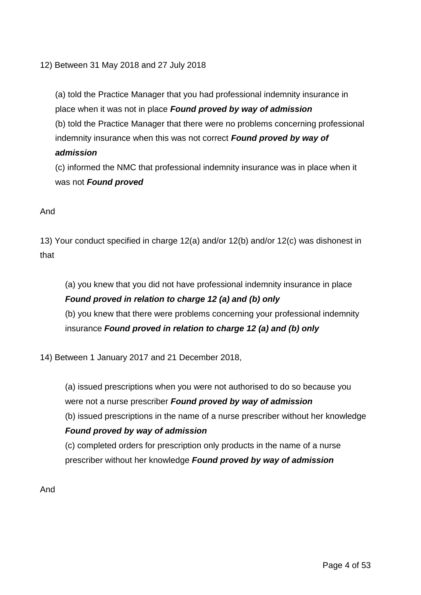12) Between 31 May 2018 and 27 July 2018

(a) told the Practice Manager that you had professional indemnity insurance in place when it was not in place *Found proved by way of admission* (b) told the Practice Manager that there were no problems concerning professional indemnity insurance when this was not correct *Found proved by way of admission*

(c) informed the NMC that professional indemnity insurance was in place when it was not **Found proved** 

### And

13) Your conduct specified in charge 12(a) and/or 12(b) and/or 12(c) was dishonest in that

(a) you knew that you did not have professional indemnity insurance in place *Found proved in relation to charge 12 (a) and (b) only* (b) you knew that there were problems concerning your professional indemnity insurance *Found proved in relation to charge 12 (a) and (b) only*

14) Between 1 January 2017 and 21 December 2018,

(a) issued prescriptions when you were not authorised to do so because you were not a nurse prescriber *Found proved by way of admission*

(b) issued prescriptions in the name of a nurse prescriber without her knowledge *Found proved by way of admission*

(c) completed orders for prescription only products in the name of a nurse prescriber without her knowledge *Found proved by way of admission*

And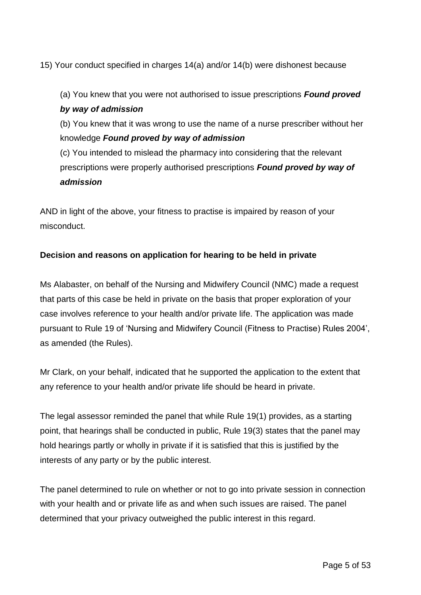15) Your conduct specified in charges 14(a) and/or 14(b) were dishonest because

(a) You knew that you were not authorised to issue prescriptions *Found proved by way of admission*

(b) You knew that it was wrong to use the name of a nurse prescriber without her knowledge *Found proved by way of admission*

(c) You intended to mislead the pharmacy into considering that the relevant prescriptions were properly authorised prescriptions *Found proved by way of admission*

AND in light of the above, your fitness to practise is impaired by reason of your misconduct.

### **Decision and reasons on application for hearing to be held in private**

Ms Alabaster, on behalf of the Nursing and Midwifery Council (NMC) made a request that parts of this case be held in private on the basis that proper exploration of your case involves reference to your health and/or private life. The application was made pursuant to Rule 19 of 'Nursing and Midwifery Council (Fitness to Practise) Rules 2004', as amended (the Rules).

Mr Clark, on your behalf, indicated that he supported the application to the extent that any reference to your health and/or private life should be heard in private.

The legal assessor reminded the panel that while Rule 19(1) provides, as a starting point, that hearings shall be conducted in public, Rule 19(3) states that the panel may hold hearings partly or wholly in private if it is satisfied that this is justified by the interests of any party or by the public interest.

The panel determined to rule on whether or not to go into private session in connection with your health and or private life as and when such issues are raised. The panel determined that your privacy outweighed the public interest in this regard.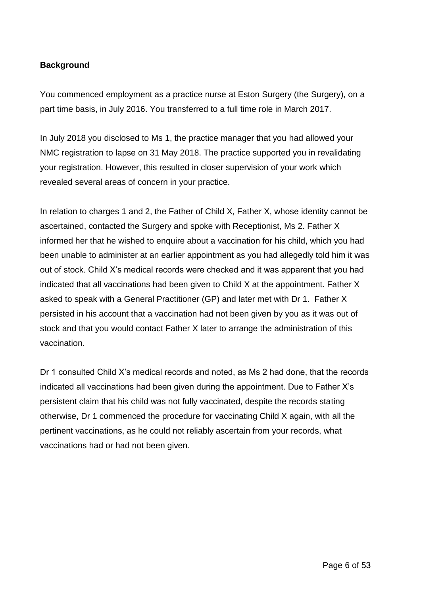# **Background**

You commenced employment as a practice nurse at Eston Surgery (the Surgery), on a part time basis, in July 2016. You transferred to a full time role in March 2017.

In July 2018 you disclosed to Ms 1, the practice manager that you had allowed your NMC registration to lapse on 31 May 2018. The practice supported you in revalidating your registration. However, this resulted in closer supervision of your work which revealed several areas of concern in your practice.

In relation to charges 1 and 2, the Father of Child X, Father X, whose identity cannot be ascertained, contacted the Surgery and spoke with Receptionist, Ms 2. Father X informed her that he wished to enquire about a vaccination for his child, which you had been unable to administer at an earlier appointment as you had allegedly told him it was out of stock. Child X's medical records were checked and it was apparent that you had indicated that all vaccinations had been given to Child X at the appointment. Father X asked to speak with a General Practitioner (GP) and later met with Dr 1. Father X persisted in his account that a vaccination had not been given by you as it was out of stock and that you would contact Father X later to arrange the administration of this vaccination.

Dr 1 consulted Child X's medical records and noted, as Ms 2 had done, that the records indicated all vaccinations had been given during the appointment. Due to Father X's persistent claim that his child was not fully vaccinated, despite the records stating otherwise, Dr 1 commenced the procedure for vaccinating Child X again, with all the pertinent vaccinations, as he could not reliably ascertain from your records, what vaccinations had or had not been given.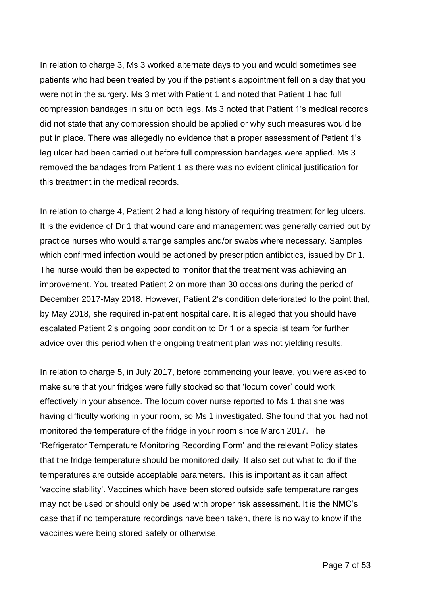In relation to charge 3, Ms 3 worked alternate days to you and would sometimes see patients who had been treated by you if the patient's appointment fell on a day that you were not in the surgery. Ms 3 met with Patient 1 and noted that Patient 1 had full compression bandages in situ on both legs. Ms 3 noted that Patient 1's medical records did not state that any compression should be applied or why such measures would be put in place. There was allegedly no evidence that a proper assessment of Patient 1's leg ulcer had been carried out before full compression bandages were applied. Ms 3 removed the bandages from Patient 1 as there was no evident clinical justification for this treatment in the medical records.

In relation to charge 4, Patient 2 had a long history of requiring treatment for leg ulcers. It is the evidence of Dr 1 that wound care and management was generally carried out by practice nurses who would arrange samples and/or swabs where necessary. Samples which confirmed infection would be actioned by prescription antibiotics, issued by Dr 1. The nurse would then be expected to monitor that the treatment was achieving an improvement. You treated Patient 2 on more than 30 occasions during the period of December 2017-May 2018. However, Patient 2's condition deteriorated to the point that, by May 2018, she required in-patient hospital care. It is alleged that you should have escalated Patient 2's ongoing poor condition to Dr 1 or a specialist team for further advice over this period when the ongoing treatment plan was not yielding results.

In relation to charge 5, in July 2017, before commencing your leave, you were asked to make sure that your fridges were fully stocked so that 'locum cover' could work effectively in your absence. The locum cover nurse reported to Ms 1 that she was having difficulty working in your room, so Ms 1 investigated. She found that you had not monitored the temperature of the fridge in your room since March 2017. The 'Refrigerator Temperature Monitoring Recording Form' and the relevant Policy states that the fridge temperature should be monitored daily. It also set out what to do if the temperatures are outside acceptable parameters. This is important as it can affect 'vaccine stability'. Vaccines which have been stored outside safe temperature ranges may not be used or should only be used with proper risk assessment. It is the NMC's case that if no temperature recordings have been taken, there is no way to know if the vaccines were being stored safely or otherwise.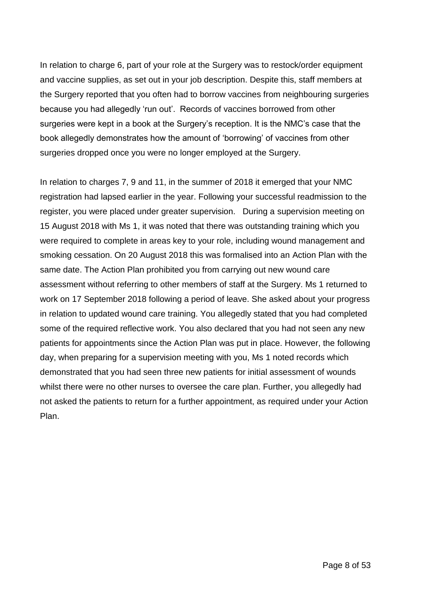In relation to charge 6, part of your role at the Surgery was to restock/order equipment and vaccine supplies, as set out in your job description. Despite this, staff members at the Surgery reported that you often had to borrow vaccines from neighbouring surgeries because you had allegedly 'run out'. Records of vaccines borrowed from other surgeries were kept in a book at the Surgery's reception. It is the NMC's case that the book allegedly demonstrates how the amount of 'borrowing' of vaccines from other surgeries dropped once you were no longer employed at the Surgery.

In relation to charges 7, 9 and 11, in the summer of 2018 it emerged that your NMC registration had lapsed earlier in the year. Following your successful readmission to the register, you were placed under greater supervision. During a supervision meeting on 15 August 2018 with Ms 1, it was noted that there was outstanding training which you were required to complete in areas key to your role, including wound management and smoking cessation. On 20 August 2018 this was formalised into an Action Plan with the same date. The Action Plan prohibited you from carrying out new wound care assessment without referring to other members of staff at the Surgery. Ms 1 returned to work on 17 September 2018 following a period of leave. She asked about your progress in relation to updated wound care training. You allegedly stated that you had completed some of the required reflective work. You also declared that you had not seen any new patients for appointments since the Action Plan was put in place. However, the following day, when preparing for a supervision meeting with you, Ms 1 noted records which demonstrated that you had seen three new patients for initial assessment of wounds whilst there were no other nurses to oversee the care plan. Further, you allegedly had not asked the patients to return for a further appointment, as required under your Action Plan.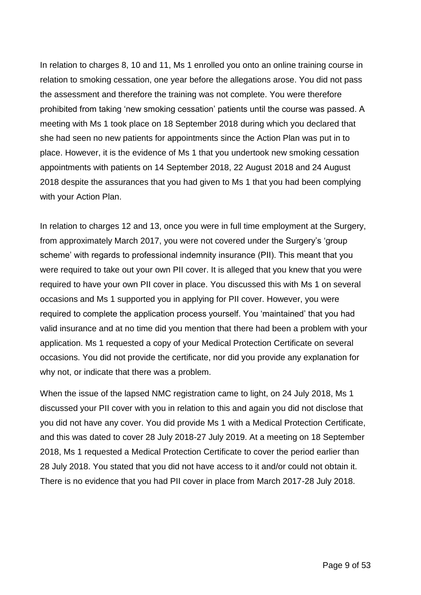In relation to charges 8, 10 and 11, Ms 1 enrolled you onto an online training course in relation to smoking cessation, one year before the allegations arose. You did not pass the assessment and therefore the training was not complete. You were therefore prohibited from taking 'new smoking cessation' patients until the course was passed. A meeting with Ms 1 took place on 18 September 2018 during which you declared that she had seen no new patients for appointments since the Action Plan was put in to place. However, it is the evidence of Ms 1 that you undertook new smoking cessation appointments with patients on 14 September 2018, 22 August 2018 and 24 August 2018 despite the assurances that you had given to Ms 1 that you had been complying with your Action Plan.

In relation to charges 12 and 13, once you were in full time employment at the Surgery, from approximately March 2017, you were not covered under the Surgery's 'group scheme' with regards to professional indemnity insurance (PII). This meant that you were required to take out your own PII cover. It is alleged that you knew that you were required to have your own PII cover in place. You discussed this with Ms 1 on several occasions and Ms 1 supported you in applying for PII cover. However, you were required to complete the application process yourself. You 'maintained' that you had valid insurance and at no time did you mention that there had been a problem with your application. Ms 1 requested a copy of your Medical Protection Certificate on several occasions. You did not provide the certificate, nor did you provide any explanation for why not, or indicate that there was a problem.

When the issue of the lapsed NMC registration came to light, on 24 July 2018, Ms 1 discussed your PII cover with you in relation to this and again you did not disclose that you did not have any cover. You did provide Ms 1 with a Medical Protection Certificate, and this was dated to cover 28 July 2018-27 July 2019. At a meeting on 18 September 2018, Ms 1 requested a Medical Protection Certificate to cover the period earlier than 28 July 2018. You stated that you did not have access to it and/or could not obtain it. There is no evidence that you had PII cover in place from March 2017-28 July 2018.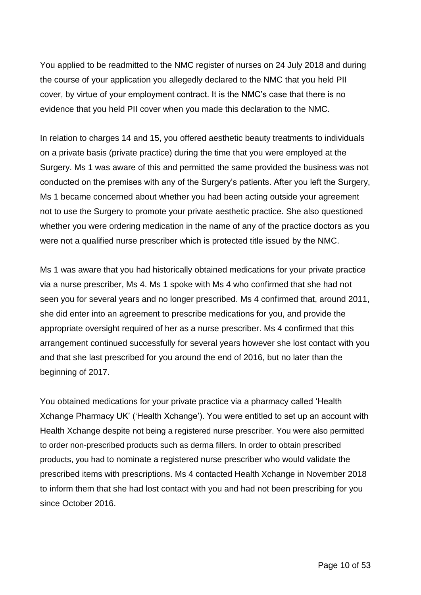You applied to be readmitted to the NMC register of nurses on 24 July 2018 and during the course of your application you allegedly declared to the NMC that you held PII cover, by virtue of your employment contract. It is the NMC's case that there is no evidence that you held PII cover when you made this declaration to the NMC.

In relation to charges 14 and 15, you offered aesthetic beauty treatments to individuals on a private basis (private practice) during the time that you were employed at the Surgery. Ms 1 was aware of this and permitted the same provided the business was not conducted on the premises with any of the Surgery's patients. After you left the Surgery, Ms 1 became concerned about whether you had been acting outside your agreement not to use the Surgery to promote your private aesthetic practice. She also questioned whether you were ordering medication in the name of any of the practice doctors as you were not a qualified nurse prescriber which is protected title issued by the NMC.

Ms 1 was aware that you had historically obtained medications for your private practice via a nurse prescriber, Ms 4. Ms 1 spoke with Ms 4 who confirmed that she had not seen you for several years and no longer prescribed. Ms 4 confirmed that, around 2011, she did enter into an agreement to prescribe medications for you, and provide the appropriate oversight required of her as a nurse prescriber. Ms 4 confirmed that this arrangement continued successfully for several years however she lost contact with you and that she last prescribed for you around the end of 2016, but no later than the beginning of 2017.

You obtained medications for your private practice via a pharmacy called 'Health Xchange Pharmacy UK' ('Health Xchange'). You were entitled to set up an account with Health Xchange despite not being a registered nurse prescriber. You were also permitted to order non-prescribed products such as derma fillers. In order to obtain prescribed products, you had to nominate a registered nurse prescriber who would validate the prescribed items with prescriptions. Ms 4 contacted Health Xchange in November 2018 to inform them that she had lost contact with you and had not been prescribing for you since October 2016.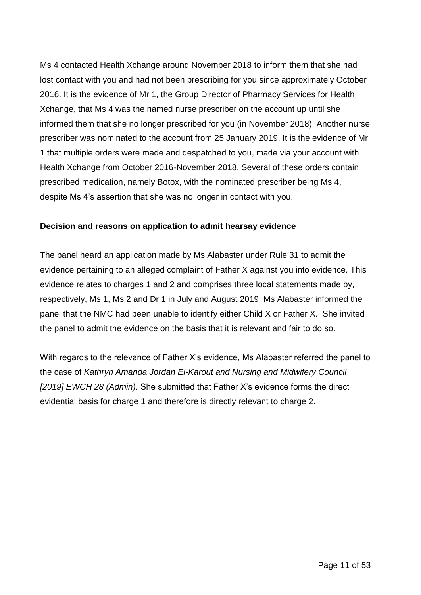Ms 4 contacted Health Xchange around November 2018 to inform them that she had lost contact with you and had not been prescribing for you since approximately October 2016. It is the evidence of Mr 1, the Group Director of Pharmacy Services for Health Xchange, that Ms 4 was the named nurse prescriber on the account up until she informed them that she no longer prescribed for you (in November 2018). Another nurse prescriber was nominated to the account from 25 January 2019. It is the evidence of Mr 1 that multiple orders were made and despatched to you, made via your account with Health Xchange from October 2016-November 2018. Several of these orders contain prescribed medication, namely Botox, with the nominated prescriber being Ms 4, despite Ms 4's assertion that she was no longer in contact with you.

## **Decision and reasons on application to admit hearsay evidence**

The panel heard an application made by Ms Alabaster under Rule 31 to admit the evidence pertaining to an alleged complaint of Father X against you into evidence. This evidence relates to charges 1 and 2 and comprises three local statements made by, respectively, Ms 1, Ms 2 and Dr 1 in July and August 2019. Ms Alabaster informed the panel that the NMC had been unable to identify either Child X or Father X. She invited the panel to admit the evidence on the basis that it is relevant and fair to do so.

With regards to the relevance of Father X's evidence, Ms Alabaster referred the panel to the case of *Kathryn Amanda Jordan El-Karout and Nursing and Midwifery Council [2019] EWCH 28 (Admin)*. She submitted that Father X's evidence forms the direct evidential basis for charge 1 and therefore is directly relevant to charge 2.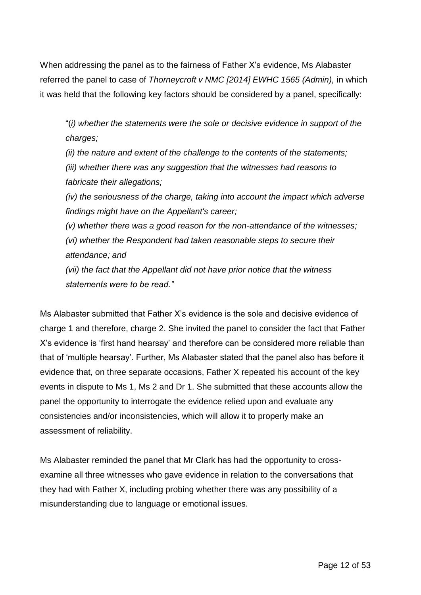When addressing the panel as to the fairness of Father X's evidence, Ms Alabaster referred the panel to case of *Thorneycroft v NMC [2014] EWHC 1565 (Admin),* in which it was held that the following key factors should be considered by a panel, specifically:

"(*i) whether the statements were the sole or decisive evidence in support of the charges;* 

*(ii) the nature and extent of the challenge to the contents of the statements; (iii) whether there was any suggestion that the witnesses had reasons to fabricate their allegations;* 

*(iv) the seriousness of the charge, taking into account the impact which adverse findings might have on the Appellant's career;* 

*(v) whether there was a good reason for the non-attendance of the witnesses; (vi) whether the Respondent had taken reasonable steps to secure their attendance; and* 

*(vii) the fact that the Appellant did not have prior notice that the witness statements were to be read."*

Ms Alabaster submitted that Father X's evidence is the sole and decisive evidence of charge 1 and therefore, charge 2. She invited the panel to consider the fact that Father X's evidence is 'first hand hearsay' and therefore can be considered more reliable than that of 'multiple hearsay'. Further, Ms Alabaster stated that the panel also has before it evidence that, on three separate occasions, Father X repeated his account of the key events in dispute to Ms 1, Ms 2 and Dr 1. She submitted that these accounts allow the panel the opportunity to interrogate the evidence relied upon and evaluate any consistencies and/or inconsistencies, which will allow it to properly make an assessment of reliability.

Ms Alabaster reminded the panel that Mr Clark has had the opportunity to crossexamine all three witnesses who gave evidence in relation to the conversations that they had with Father X, including probing whether there was any possibility of a misunderstanding due to language or emotional issues.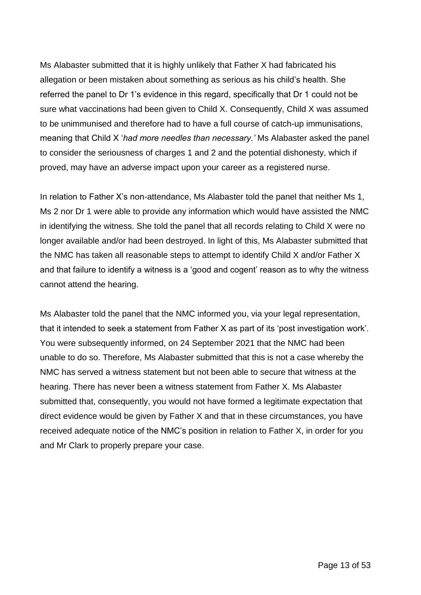Ms Alabaster submitted that it is highly unlikely that Father X had fabricated his allegation or been mistaken about something as serious as his child's health. She referred the panel to Dr 1's evidence in this regard, specifically that Dr 1 could not be sure what vaccinations had been given to Child X. Consequently, Child X was assumed to be unimmunised and therefore had to have a full course of catch-up immunisations, meaning that Child X '*had more needles than necessary.'* Ms Alabaster asked the panel to consider the seriousness of charges 1 and 2 and the potential dishonesty, which if proved, may have an adverse impact upon your career as a registered nurse.

In relation to Father X's non-attendance, Ms Alabaster told the panel that neither Ms 1, Ms 2 nor Dr 1 were able to provide any information which would have assisted the NMC in identifying the witness. She told the panel that all records relating to Child X were no longer available and/or had been destroyed. In light of this, Ms Alabaster submitted that the NMC has taken all reasonable steps to attempt to identify Child X and/or Father X and that failure to identify a witness is a 'good and cogent' reason as to why the witness cannot attend the hearing.

Ms Alabaster told the panel that the NMC informed you, via your legal representation, that it intended to seek a statement from Father X as part of its 'post investigation work'. You were subsequently informed, on 24 September 2021 that the NMC had been unable to do so. Therefore, Ms Alabaster submitted that this is not a case whereby the NMC has served a witness statement but not been able to secure that witness at the hearing. There has never been a witness statement from Father X. Ms Alabaster submitted that, consequently, you would not have formed a legitimate expectation that direct evidence would be given by Father X and that in these circumstances, you have received adequate notice of the NMC's position in relation to Father X, in order for you and Mr Clark to properly prepare your case.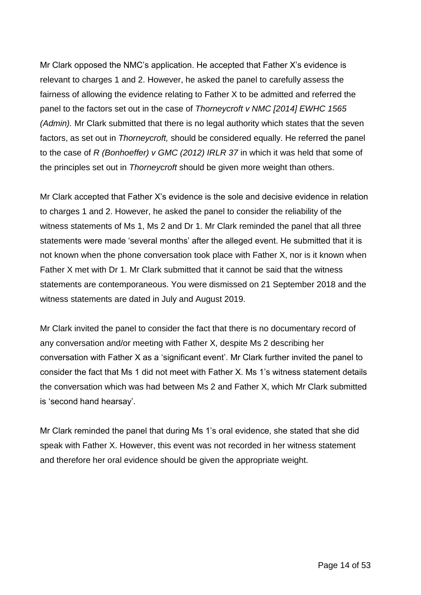Mr Clark opposed the NMC's application. He accepted that Father X's evidence is relevant to charges 1 and 2. However, he asked the panel to carefully assess the fairness of allowing the evidence relating to Father X to be admitted and referred the panel to the factors set out in the case of *Thorneycroft v NMC [2014] EWHC 1565 (Admin).* Mr Clark submitted that there is no legal authority which states that the seven factors, as set out in *Thorneycroft,* should be considered equally. He referred the panel to the case of *R (Bonhoeffer) v GMC (2012) IRLR 37* in which it was held that some of the principles set out in *Thorneycroft* should be given more weight than others.

Mr Clark accepted that Father X's evidence is the sole and decisive evidence in relation to charges 1 and 2. However, he asked the panel to consider the reliability of the witness statements of Ms 1, Ms 2 and Dr 1. Mr Clark reminded the panel that all three statements were made 'several months' after the alleged event. He submitted that it is not known when the phone conversation took place with Father X, nor is it known when Father X met with Dr 1. Mr Clark submitted that it cannot be said that the witness statements are contemporaneous. You were dismissed on 21 September 2018 and the witness statements are dated in July and August 2019.

Mr Clark invited the panel to consider the fact that there is no documentary record of any conversation and/or meeting with Father X, despite Ms 2 describing her conversation with Father X as a 'significant event'. Mr Clark further invited the panel to consider the fact that Ms 1 did not meet with Father X. Ms 1's witness statement details the conversation which was had between Ms 2 and Father X, which Mr Clark submitted is 'second hand hearsay'.

Mr Clark reminded the panel that during Ms 1's oral evidence, she stated that she did speak with Father X. However, this event was not recorded in her witness statement and therefore her oral evidence should be given the appropriate weight.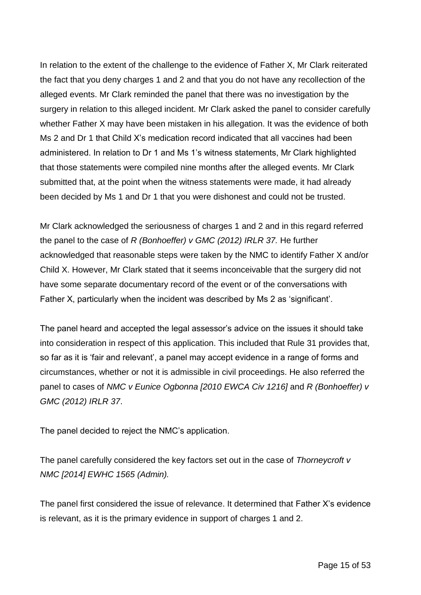In relation to the extent of the challenge to the evidence of Father X, Mr Clark reiterated the fact that you deny charges 1 and 2 and that you do not have any recollection of the alleged events. Mr Clark reminded the panel that there was no investigation by the surgery in relation to this alleged incident. Mr Clark asked the panel to consider carefully whether Father X may have been mistaken in his allegation. It was the evidence of both Ms 2 and Dr 1 that Child X's medication record indicated that all vaccines had been administered. In relation to Dr 1 and Ms 1's witness statements, Mr Clark highlighted that those statements were compiled nine months after the alleged events. Mr Clark submitted that, at the point when the witness statements were made, it had already been decided by Ms 1 and Dr 1 that you were dishonest and could not be trusted.

Mr Clark acknowledged the seriousness of charges 1 and 2 and in this regard referred the panel to the case of *R (Bonhoeffer) v GMC (2012) IRLR 37.* He further acknowledged that reasonable steps were taken by the NMC to identify Father X and/or Child X. However, Mr Clark stated that it seems inconceivable that the surgery did not have some separate documentary record of the event or of the conversations with Father X, particularly when the incident was described by Ms 2 as 'significant'.

The panel heard and accepted the legal assessor's advice on the issues it should take into consideration in respect of this application. This included that Rule 31 provides that, so far as it is 'fair and relevant', a panel may accept evidence in a range of forms and circumstances, whether or not it is admissible in civil proceedings. He also referred the panel to cases of *NMC v Eunice Ogbonna [2010 EWCA Civ 1216]* and *R (Bonhoeffer) v GMC (2012) IRLR 37*.

The panel decided to reject the NMC's application.

The panel carefully considered the key factors set out in the case of *Thorneycroft v NMC [2014] EWHC 1565 (Admin).* 

The panel first considered the issue of relevance. It determined that Father X's evidence is relevant, as it is the primary evidence in support of charges 1 and 2.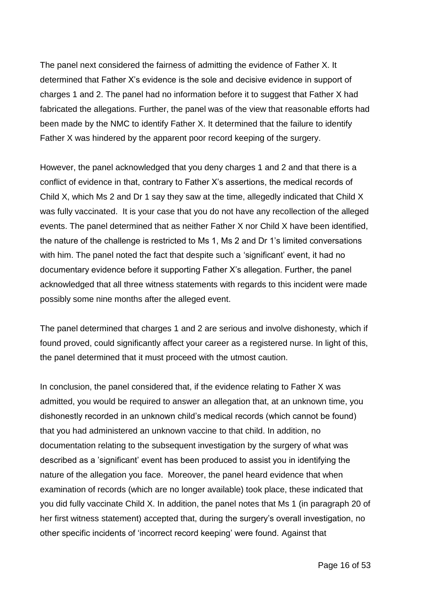The panel next considered the fairness of admitting the evidence of Father X. It determined that Father X's evidence is the sole and decisive evidence in support of charges 1 and 2. The panel had no information before it to suggest that Father X had fabricated the allegations. Further, the panel was of the view that reasonable efforts had been made by the NMC to identify Father X. It determined that the failure to identify Father X was hindered by the apparent poor record keeping of the surgery.

However, the panel acknowledged that you deny charges 1 and 2 and that there is a conflict of evidence in that, contrary to Father X's assertions, the medical records of Child X, which Ms 2 and Dr 1 say they saw at the time, allegedly indicated that Child X was fully vaccinated. It is your case that you do not have any recollection of the alleged events. The panel determined that as neither Father X nor Child X have been identified, the nature of the challenge is restricted to Ms 1, Ms 2 and Dr 1's limited conversations with him. The panel noted the fact that despite such a 'significant' event, it had no documentary evidence before it supporting Father X's allegation. Further, the panel acknowledged that all three witness statements with regards to this incident were made possibly some nine months after the alleged event.

The panel determined that charges 1 and 2 are serious and involve dishonesty, which if found proved, could significantly affect your career as a registered nurse. In light of this, the panel determined that it must proceed with the utmost caution.

In conclusion, the panel considered that, if the evidence relating to Father X was admitted, you would be required to answer an allegation that, at an unknown time, you dishonestly recorded in an unknown child's medical records (which cannot be found) that you had administered an unknown vaccine to that child. In addition, no documentation relating to the subsequent investigation by the surgery of what was described as a 'significant' event has been produced to assist you in identifying the nature of the allegation you face. Moreover, the panel heard evidence that when examination of records (which are no longer available) took place, these indicated that you did fully vaccinate Child X. In addition, the panel notes that Ms 1 (in paragraph 20 of her first witness statement) accepted that, during the surgery's overall investigation, no other specific incidents of 'incorrect record keeping' were found. Against that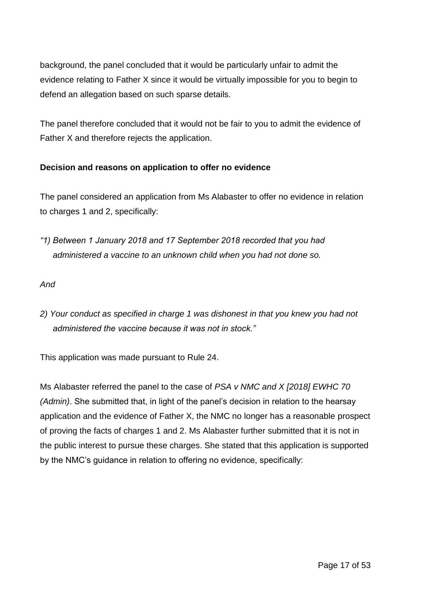background, the panel concluded that it would be particularly unfair to admit the evidence relating to Father X since it would be virtually impossible for you to begin to defend an allegation based on such sparse details.

The panel therefore concluded that it would not be fair to you to admit the evidence of Father X and therefore rejects the application.

# **Decision and reasons on application to offer no evidence**

The panel considered an application from Ms Alabaster to offer no evidence in relation to charges 1 and 2, specifically:

*"1) Between 1 January 2018 and 17 September 2018 recorded that you had administered a vaccine to an unknown child when you had not done so.* 

*And* 

*2) Your conduct as specified in charge 1 was dishonest in that you knew you had not administered the vaccine because it was not in stock."*

This application was made pursuant to Rule 24.

Ms Alabaster referred the panel to the case of *PSA v NMC and X [2018] EWHC 70 (Admin)*. She submitted that, in light of the panel's decision in relation to the hearsay application and the evidence of Father X, the NMC no longer has a reasonable prospect of proving the facts of charges 1 and 2. Ms Alabaster further submitted that it is not in the public interest to pursue these charges. She stated that this application is supported by the NMC's guidance in relation to offering no evidence, specifically: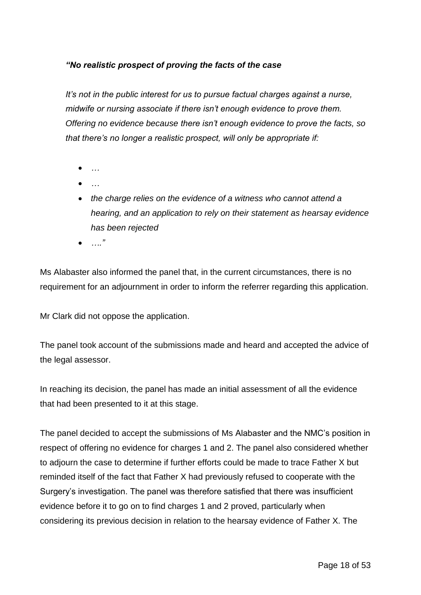# *"No realistic prospect of proving the facts of the case*

*It's not in the public interest for us to pursue factual charges against a nurse, midwife or nursing associate if there isn't enough evidence to prove them. Offering no evidence because there isn't enough evidence to prove the facts, so that there's no longer a realistic prospect, will only be appropriate if:*

- *…*
- *…*
- *the charge relies on the evidence of a witness who cannot attend a hearing, and an application to rely on their statement as hearsay evidence has been rejected*
- *…."*

Ms Alabaster also informed the panel that, in the current circumstances, there is no requirement for an adjournment in order to inform the referrer regarding this application.

Mr Clark did not oppose the application.

The panel took account of the submissions made and heard and accepted the advice of the legal assessor.

In reaching its decision, the panel has made an initial assessment of all the evidence that had been presented to it at this stage.

The panel decided to accept the submissions of Ms Alabaster and the NMC's position in respect of offering no evidence for charges 1 and 2. The panel also considered whether to adjourn the case to determine if further efforts could be made to trace Father X but reminded itself of the fact that Father X had previously refused to cooperate with the Surgery's investigation. The panel was therefore satisfied that there was insufficient evidence before it to go on to find charges 1 and 2 proved, particularly when considering its previous decision in relation to the hearsay evidence of Father X. The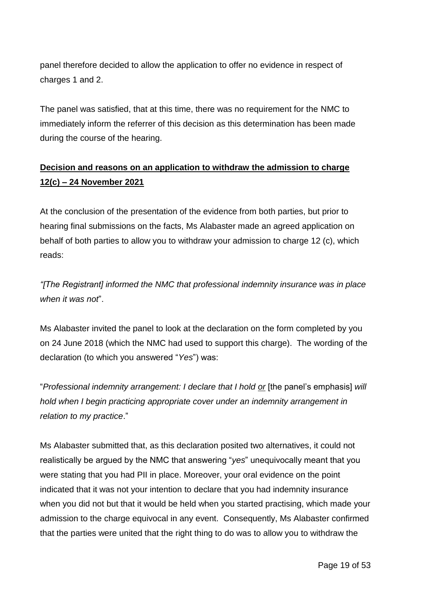panel therefore decided to allow the application to offer no evidence in respect of charges 1 and 2.

The panel was satisfied, that at this time, there was no requirement for the NMC to immediately inform the referrer of this decision as this determination has been made during the course of the hearing.

# **Decision and reasons on an application to withdraw the admission to charge 12(c) – 24 November 2021**

At the conclusion of the presentation of the evidence from both parties, but prior to hearing final submissions on the facts, Ms Alabaster made an agreed application on behalf of both parties to allow you to withdraw your admission to charge 12 (c), which reads:

*"[The Registrant] informed the NMC that professional indemnity insurance was in place when it was not*".

Ms Alabaster invited the panel to look at the declaration on the form completed by you on 24 June 2018 (which the NMC had used to support this charge). The wording of the declaration (to which you answered "*Yes*") was:

"*Professional indemnity arrangement: I declare that I hold or* [the panel's emphasis] *will hold when I begin practicing appropriate cover under an indemnity arrangement in relation to my practice*."

Ms Alabaster submitted that, as this declaration posited two alternatives, it could not realistically be argued by the NMC that answering "*yes*" unequivocally meant that you were stating that you had PII in place. Moreover, your oral evidence on the point indicated that it was not your intention to declare that you had indemnity insurance when you did not but that it would be held when you started practising, which made your admission to the charge equivocal in any event. Consequently, Ms Alabaster confirmed that the parties were united that the right thing to do was to allow you to withdraw the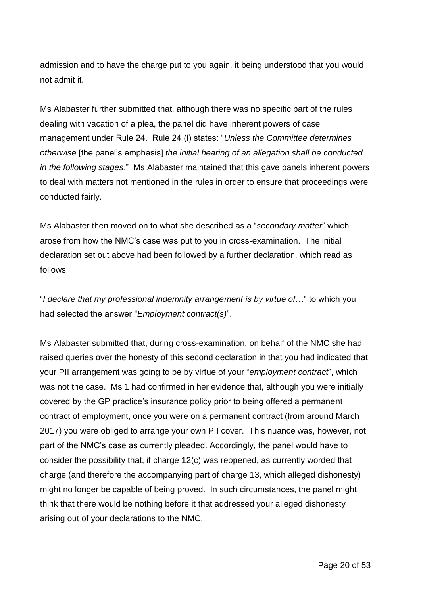admission and to have the charge put to you again, it being understood that you would not admit it.

Ms Alabaster further submitted that, although there was no specific part of the rules dealing with vacation of a plea, the panel did have inherent powers of case management under Rule 24. Rule 24 (i) states: "*Unless the Committee determines otherwise* [the panel's emphasis] *the initial hearing of an allegation shall be conducted in the following stages*." Ms Alabaster maintained that this gave panels inherent powers to deal with matters not mentioned in the rules in order to ensure that proceedings were conducted fairly.

Ms Alabaster then moved on to what she described as a "*secondary matter*" which arose from how the NMC's case was put to you in cross-examination. The initial declaration set out above had been followed by a further declaration, which read as follows:

"*I declare that my professional indemnity arrangement is by virtue of…*" to which you had selected the answer "*Employment contract(s)*".

Ms Alabaster submitted that, during cross-examination, on behalf of the NMC she had raised queries over the honesty of this second declaration in that you had indicated that your PII arrangement was going to be by virtue of your "*employment contract*", which was not the case. Ms 1 had confirmed in her evidence that, although you were initially covered by the GP practice's insurance policy prior to being offered a permanent contract of employment, once you were on a permanent contract (from around March 2017) you were obliged to arrange your own PII cover. This nuance was, however, not part of the NMC's case as currently pleaded. Accordingly, the panel would have to consider the possibility that, if charge 12(c) was reopened, as currently worded that charge (and therefore the accompanying part of charge 13, which alleged dishonesty) might no longer be capable of being proved. In such circumstances, the panel might think that there would be nothing before it that addressed your alleged dishonesty arising out of your declarations to the NMC.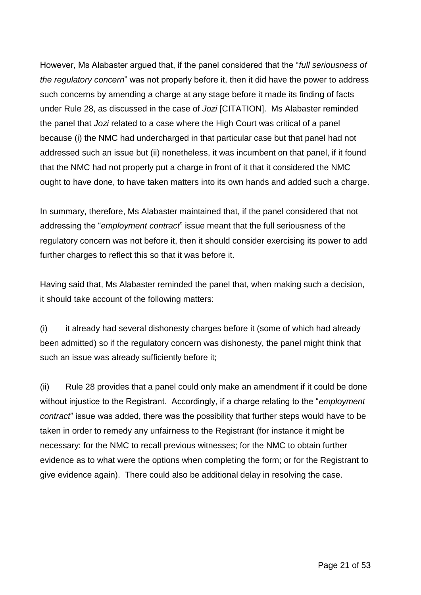However, Ms Alabaster argued that, if the panel considered that the "*full seriousness of the regulatory concern*" was not properly before it, then it did have the power to address such concerns by amending a charge at any stage before it made its finding of facts under Rule 28, as discussed in the case of *Jozi* [CITATION]. Ms Alabaster reminded the panel that *Jozi* related to a case where the High Court was critical of a panel because (i) the NMC had undercharged in that particular case but that panel had not addressed such an issue but (ii) nonetheless, it was incumbent on that panel, if it found that the NMC had not properly put a charge in front of it that it considered the NMC ought to have done, to have taken matters into its own hands and added such a charge.

In summary, therefore, Ms Alabaster maintained that, if the panel considered that not addressing the "*employment contract*" issue meant that the full seriousness of the regulatory concern was not before it, then it should consider exercising its power to add further charges to reflect this so that it was before it.

Having said that, Ms Alabaster reminded the panel that, when making such a decision, it should take account of the following matters:

(i) it already had several dishonesty charges before it (some of which had already been admitted) so if the regulatory concern was dishonesty, the panel might think that such an issue was already sufficiently before it;

(ii) Rule 28 provides that a panel could only make an amendment if it could be done without injustice to the Registrant. Accordingly, if a charge relating to the "*employment contract*" issue was added, there was the possibility that further steps would have to be taken in order to remedy any unfairness to the Registrant (for instance it might be necessary: for the NMC to recall previous witnesses; for the NMC to obtain further evidence as to what were the options when completing the form; or for the Registrant to give evidence again). There could also be additional delay in resolving the case.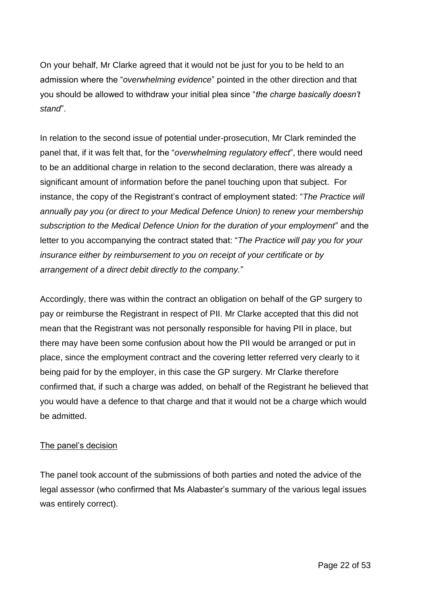On your behalf, Mr Clarke agreed that it would not be just for you to be held to an admission where the "*overwhelming evidence*" pointed in the other direction and that you should be allowed to withdraw your initial plea since "*the charge basically doesn't stand*".

In relation to the second issue of potential under-prosecution, Mr Clark reminded the panel that, if it was felt that, for the "*overwhelming regulatory effect*", there would need to be an additional charge in relation to the second declaration, there was already a significant amount of information before the panel touching upon that subject. For instance, the copy of the Registrant's contract of employment stated: "*The Practice will annually pay you (or direct to your Medical Defence Union) to renew your membership subscription to the Medical Defence Union for the duration of your employment*" and the letter to you accompanying the contract stated that: "*The Practice will pay you for your insurance either by reimbursement to you on receipt of your certificate or by arrangement of a direct debit directly to the company.*"

Accordingly, there was within the contract an obligation on behalf of the GP surgery to pay or reimburse the Registrant in respect of PII. Mr Clarke accepted that this did not mean that the Registrant was not personally responsible for having PII in place, but there may have been some confusion about how the PII would be arranged or put in place, since the employment contract and the covering letter referred very clearly to it being paid for by the employer, in this case the GP surgery. Mr Clarke therefore confirmed that, if such a charge was added, on behalf of the Registrant he believed that you would have a defence to that charge and that it would not be a charge which would be admitted.

# The panel's decision

The panel took account of the submissions of both parties and noted the advice of the legal assessor (who confirmed that Ms Alabaster's summary of the various legal issues was entirely correct).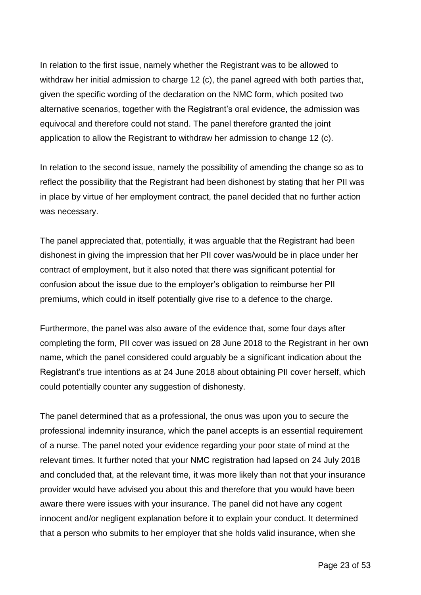In relation to the first issue, namely whether the Registrant was to be allowed to withdraw her initial admission to charge 12 (c), the panel agreed with both parties that, given the specific wording of the declaration on the NMC form, which posited two alternative scenarios, together with the Registrant's oral evidence, the admission was equivocal and therefore could not stand. The panel therefore granted the joint application to allow the Registrant to withdraw her admission to change 12 (c).

In relation to the second issue, namely the possibility of amending the change so as to reflect the possibility that the Registrant had been dishonest by stating that her PII was in place by virtue of her employment contract, the panel decided that no further action was necessary.

The panel appreciated that, potentially, it was arguable that the Registrant had been dishonest in giving the impression that her PII cover was/would be in place under her contract of employment, but it also noted that there was significant potential for confusion about the issue due to the employer's obligation to reimburse her PII premiums, which could in itself potentially give rise to a defence to the charge.

Furthermore, the panel was also aware of the evidence that, some four days after completing the form, PII cover was issued on 28 June 2018 to the Registrant in her own name, which the panel considered could arguably be a significant indication about the Registrant's true intentions as at 24 June 2018 about obtaining PII cover herself, which could potentially counter any suggestion of dishonesty.

The panel determined that as a professional, the onus was upon you to secure the professional indemnity insurance, which the panel accepts is an essential requirement of a nurse. The panel noted your evidence regarding your poor state of mind at the relevant times. It further noted that your NMC registration had lapsed on 24 July 2018 and concluded that, at the relevant time, it was more likely than not that your insurance provider would have advised you about this and therefore that you would have been aware there were issues with your insurance. The panel did not have any cogent innocent and/or negligent explanation before it to explain your conduct. It determined that a person who submits to her employer that she holds valid insurance, when she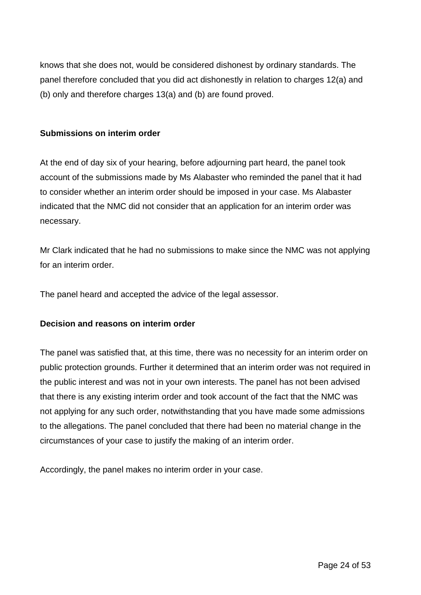knows that she does not, would be considered dishonest by ordinary standards. The panel therefore concluded that you did act dishonestly in relation to charges 12(a) and (b) only and therefore charges 13(a) and (b) are found proved.

## **Submissions on interim order**

At the end of day six of your hearing, before adjourning part heard, the panel took account of the submissions made by Ms Alabaster who reminded the panel that it had to consider whether an interim order should be imposed in your case. Ms Alabaster indicated that the NMC did not consider that an application for an interim order was necessary.

Mr Clark indicated that he had no submissions to make since the NMC was not applying for an interim order.

The panel heard and accepted the advice of the legal assessor.

# **Decision and reasons on interim order**

The panel was satisfied that, at this time, there was no necessity for an interim order on public protection grounds. Further it determined that an interim order was not required in the public interest and was not in your own interests. The panel has not been advised that there is any existing interim order and took account of the fact that the NMC was not applying for any such order, notwithstanding that you have made some admissions to the allegations. The panel concluded that there had been no material change in the circumstances of your case to justify the making of an interim order.

Accordingly, the panel makes no interim order in your case.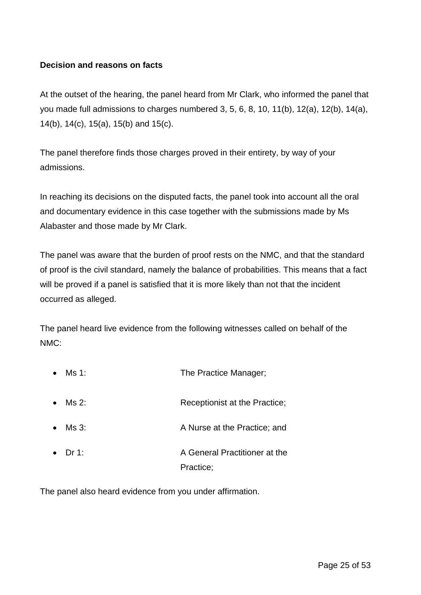## **Decision and reasons on facts**

At the outset of the hearing, the panel heard from Mr Clark, who informed the panel that you made full admissions to charges numbered 3, 5, 6, 8, 10, 11(b), 12(a), 12(b), 14(a), 14(b), 14(c), 15(a), 15(b) and 15(c).

The panel therefore finds those charges proved in their entirety, by way of your admissions.

In reaching its decisions on the disputed facts, the panel took into account all the oral and documentary evidence in this case together with the submissions made by Ms Alabaster and those made by Mr Clark.

The panel was aware that the burden of proof rests on the NMC, and that the standard of proof is the civil standard, namely the balance of probabilities. This means that a fact will be proved if a panel is satisfied that it is more likely than not that the incident occurred as alleged.

The panel heard live evidence from the following witnesses called on behalf of the NMC:

|           | Ms 1: | The Practice Manager;                      |
|-----------|-------|--------------------------------------------|
| $\bullet$ | Ms 2: | Receptionist at the Practice;              |
| $\bullet$ | Ms 3: | A Nurse at the Practice; and               |
| $\bullet$ | Dr 1: | A General Practitioner at the<br>Practice; |

The panel also heard evidence from you under affirmation.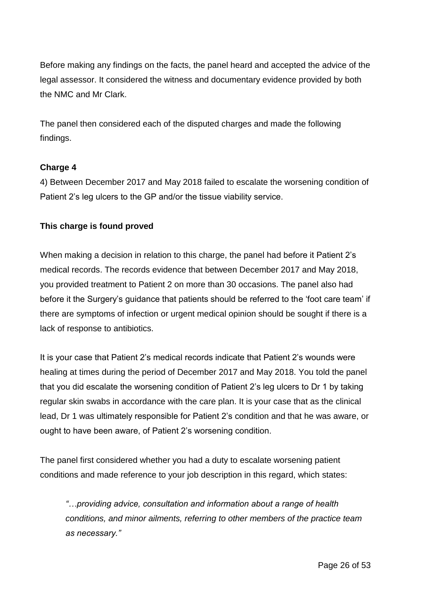Before making any findings on the facts, the panel heard and accepted the advice of the legal assessor. It considered the witness and documentary evidence provided by both the NMC and Mr Clark.

The panel then considered each of the disputed charges and made the following findings.

# **Charge 4**

4) Between December 2017 and May 2018 failed to escalate the worsening condition of Patient 2's leg ulcers to the GP and/or the tissue viability service.

# **This charge is found proved**

When making a decision in relation to this charge, the panel had before it Patient 2's medical records. The records evidence that between December 2017 and May 2018, you provided treatment to Patient 2 on more than 30 occasions. The panel also had before it the Surgery's guidance that patients should be referred to the 'foot care team' if there are symptoms of infection or urgent medical opinion should be sought if there is a lack of response to antibiotics.

It is your case that Patient 2's medical records indicate that Patient 2's wounds were healing at times during the period of December 2017 and May 2018. You told the panel that you did escalate the worsening condition of Patient 2's leg ulcers to Dr 1 by taking regular skin swabs in accordance with the care plan. It is your case that as the clinical lead, Dr 1 was ultimately responsible for Patient 2's condition and that he was aware, or ought to have been aware, of Patient 2's worsening condition.

The panel first considered whether you had a duty to escalate worsening patient conditions and made reference to your job description in this regard, which states:

*"…providing advice, consultation and information about a range of health conditions, and minor ailments, referring to other members of the practice team as necessary."*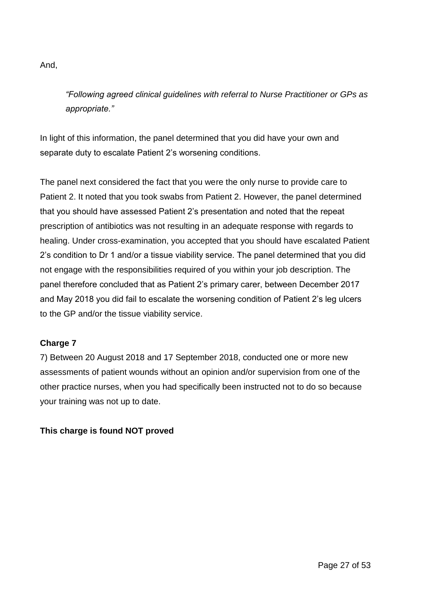And,

*"Following agreed clinical guidelines with referral to Nurse Practitioner or GPs as appropriate."*

In light of this information, the panel determined that you did have your own and separate duty to escalate Patient 2's worsening conditions.

The panel next considered the fact that you were the only nurse to provide care to Patient 2. It noted that you took swabs from Patient 2. However, the panel determined that you should have assessed Patient 2's presentation and noted that the repeat prescription of antibiotics was not resulting in an adequate response with regards to healing. Under cross-examination, you accepted that you should have escalated Patient 2's condition to Dr 1 and/or a tissue viability service. The panel determined that you did not engage with the responsibilities required of you within your job description. The panel therefore concluded that as Patient 2's primary carer, between December 2017 and May 2018 you did fail to escalate the worsening condition of Patient 2's leg ulcers to the GP and/or the tissue viability service.

# **Charge 7**

7) Between 20 August 2018 and 17 September 2018, conducted one or more new assessments of patient wounds without an opinion and/or supervision from one of the other practice nurses, when you had specifically been instructed not to do so because your training was not up to date.

# **This charge is found NOT proved**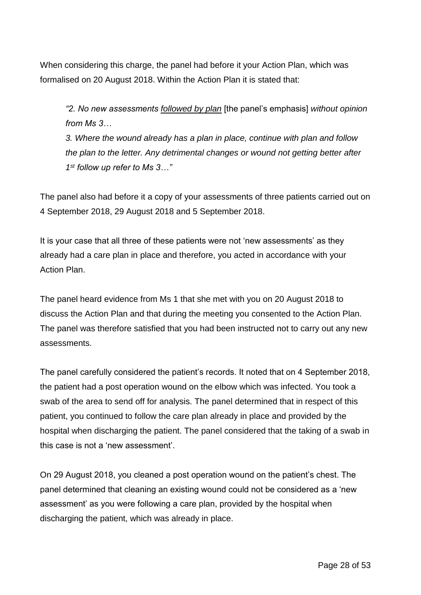When considering this charge, the panel had before it your Action Plan, which was formalised on 20 August 2018. Within the Action Plan it is stated that:

*"2. No new assessments followed by plan* [the panel's emphasis] *without opinion from Ms 3…*

*3. Where the wound already has a plan in place, continue with plan and follow the plan to the letter. Any detrimental changes or wound not getting better after 1 st follow up refer to Ms 3…"*

The panel also had before it a copy of your assessments of three patients carried out on 4 September 2018, 29 August 2018 and 5 September 2018.

It is your case that all three of these patients were not 'new assessments' as they already had a care plan in place and therefore, you acted in accordance with your Action Plan.

The panel heard evidence from Ms 1 that she met with you on 20 August 2018 to discuss the Action Plan and that during the meeting you consented to the Action Plan. The panel was therefore satisfied that you had been instructed not to carry out any new assessments.

The panel carefully considered the patient's records. It noted that on 4 September 2018, the patient had a post operation wound on the elbow which was infected. You took a swab of the area to send off for analysis. The panel determined that in respect of this patient, you continued to follow the care plan already in place and provided by the hospital when discharging the patient. The panel considered that the taking of a swab in this case is not a 'new assessment'.

On 29 August 2018, you cleaned a post operation wound on the patient's chest. The panel determined that cleaning an existing wound could not be considered as a 'new assessment' as you were following a care plan, provided by the hospital when discharging the patient, which was already in place.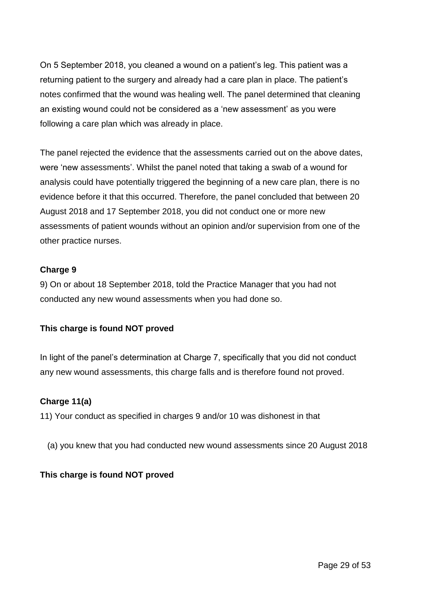On 5 September 2018, you cleaned a wound on a patient's leg. This patient was a returning patient to the surgery and already had a care plan in place. The patient's notes confirmed that the wound was healing well. The panel determined that cleaning an existing wound could not be considered as a 'new assessment' as you were following a care plan which was already in place.

The panel rejected the evidence that the assessments carried out on the above dates, were 'new assessments'. Whilst the panel noted that taking a swab of a wound for analysis could have potentially triggered the beginning of a new care plan, there is no evidence before it that this occurred. Therefore, the panel concluded that between 20 August 2018 and 17 September 2018, you did not conduct one or more new assessments of patient wounds without an opinion and/or supervision from one of the other practice nurses.

## **Charge 9**

9) On or about 18 September 2018, told the Practice Manager that you had not conducted any new wound assessments when you had done so.

# **This charge is found NOT proved**

In light of the panel's determination at Charge 7, specifically that you did not conduct any new wound assessments, this charge falls and is therefore found not proved.

# **Charge 11(a)**

11) Your conduct as specified in charges 9 and/or 10 was dishonest in that

(a) you knew that you had conducted new wound assessments since 20 August 2018

### **This charge is found NOT proved**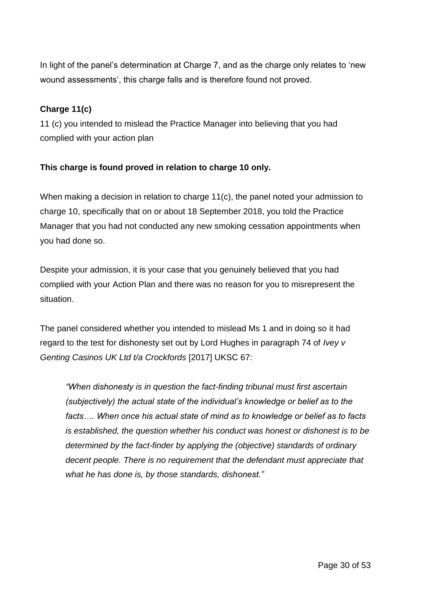In light of the panel's determination at Charge 7, and as the charge only relates to 'new wound assessments', this charge falls and is therefore found not proved.

# **Charge 11(c)**

11 (c) you intended to mislead the Practice Manager into believing that you had complied with your action plan

# **This charge is found proved in relation to charge 10 only.**

When making a decision in relation to charge 11(c), the panel noted your admission to charge 10, specifically that on or about 18 September 2018, you told the Practice Manager that you had not conducted any new smoking cessation appointments when you had done so.

Despite your admission, it is your case that you genuinely believed that you had complied with your Action Plan and there was no reason for you to misrepresent the situation.

The panel considered whether you intended to mislead Ms 1 and in doing so it had regard to the test for dishonesty set out by Lord Hughes in paragraph 74 of *Ivey v Genting Casinos UK Ltd t/a Crockfords* [2017] UKSC 67:

*"When dishonesty is in question the fact-finding tribunal must first ascertain (subjectively) the actual state of the individual's knowledge or belief as to the facts…. When once his actual state of mind as to knowledge or belief as to facts is established, the question whether his conduct was honest or dishonest is to be determined by the fact-finder by applying the (objective) standards of ordinary decent people. There is no requirement that the defendant must appreciate that what he has done is, by those standards, dishonest."*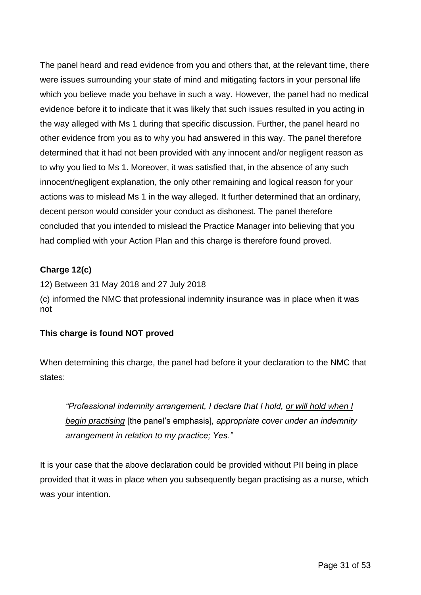The panel heard and read evidence from you and others that, at the relevant time, there were issues surrounding your state of mind and mitigating factors in your personal life which you believe made you behave in such a way. However, the panel had no medical evidence before it to indicate that it was likely that such issues resulted in you acting in the way alleged with Ms 1 during that specific discussion. Further, the panel heard no other evidence from you as to why you had answered in this way. The panel therefore determined that it had not been provided with any innocent and/or negligent reason as to why you lied to Ms 1. Moreover, it was satisfied that, in the absence of any such innocent/negligent explanation, the only other remaining and logical reason for your actions was to mislead Ms 1 in the way alleged. It further determined that an ordinary, decent person would consider your conduct as dishonest. The panel therefore concluded that you intended to mislead the Practice Manager into believing that you had complied with your Action Plan and this charge is therefore found proved.

# **Charge 12(c)**

12) Between 31 May 2018 and 27 July 2018 (c) informed the NMC that professional indemnity insurance was in place when it was not

# **This charge is found NOT proved**

When determining this charge, the panel had before it your declaration to the NMC that states:

*"Professional indemnity arrangement, I declare that I hold, or will hold when I begin practising* [the panel's emphasis]*, appropriate cover under an indemnity arrangement in relation to my practice; Yes."*

It is your case that the above declaration could be provided without PII being in place provided that it was in place when you subsequently began practising as a nurse, which was your intention.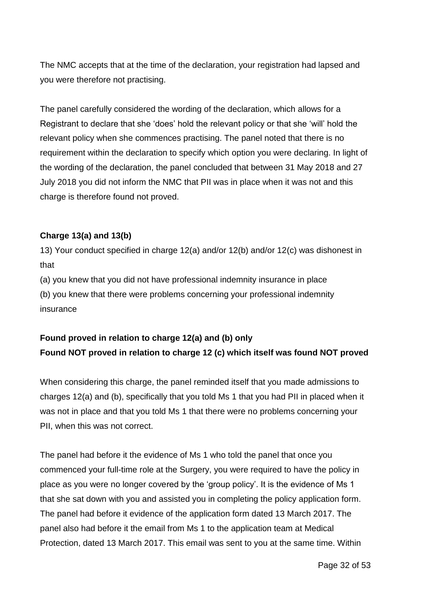The NMC accepts that at the time of the declaration, your registration had lapsed and you were therefore not practising.

The panel carefully considered the wording of the declaration, which allows for a Registrant to declare that she 'does' hold the relevant policy or that she 'will' hold the relevant policy when she commences practising. The panel noted that there is no requirement within the declaration to specify which option you were declaring. In light of the wording of the declaration, the panel concluded that between 31 May 2018 and 27 July 2018 you did not inform the NMC that PII was in place when it was not and this charge is therefore found not proved.

## **Charge 13(a) and 13(b)**

13) Your conduct specified in charge 12(a) and/or 12(b) and/or 12(c) was dishonest in that

(a) you knew that you did not have professional indemnity insurance in place

(b) you knew that there were problems concerning your professional indemnity insurance

# **Found proved in relation to charge 12(a) and (b) only Found NOT proved in relation to charge 12 (c) which itself was found NOT proved**

When considering this charge, the panel reminded itself that you made admissions to charges 12(a) and (b), specifically that you told Ms 1 that you had PII in placed when it was not in place and that you told Ms 1 that there were no problems concerning your PII, when this was not correct.

The panel had before it the evidence of Ms 1 who told the panel that once you commenced your full-time role at the Surgery, you were required to have the policy in place as you were no longer covered by the 'group policy'. It is the evidence of Ms 1 that she sat down with you and assisted you in completing the policy application form. The panel had before it evidence of the application form dated 13 March 2017. The panel also had before it the email from Ms 1 to the application team at Medical Protection, dated 13 March 2017. This email was sent to you at the same time. Within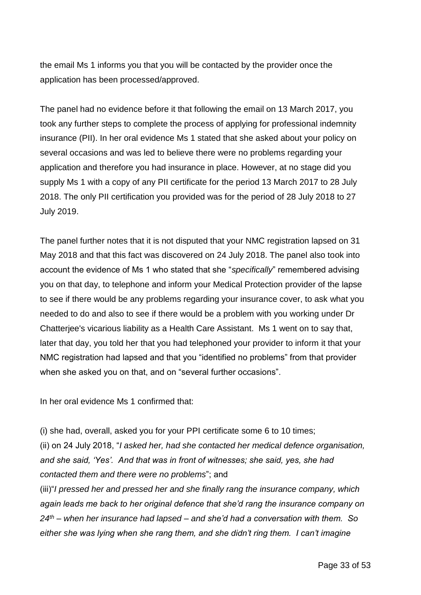the email Ms 1 informs you that you will be contacted by the provider once the application has been processed/approved.

The panel had no evidence before it that following the email on 13 March 2017, you took any further steps to complete the process of applying for professional indemnity insurance (PII). In her oral evidence Ms 1 stated that she asked about your policy on several occasions and was led to believe there were no problems regarding your application and therefore you had insurance in place. However, at no stage did you supply Ms 1 with a copy of any PII certificate for the period 13 March 2017 to 28 July 2018. The only PII certification you provided was for the period of 28 July 2018 to 27 July 2019.

The panel further notes that it is not disputed that your NMC registration lapsed on 31 May 2018 and that this fact was discovered on 24 July 2018. The panel also took into account the evidence of Ms 1 who stated that she "*specifically*" remembered advising you on that day, to telephone and inform your Medical Protection provider of the lapse to see if there would be any problems regarding your insurance cover, to ask what you needed to do and also to see if there would be a problem with you working under Dr Chatterjee's vicarious liability as a Health Care Assistant. Ms 1 went on to say that, later that day, you told her that you had telephoned your provider to inform it that your NMC registration had lapsed and that you "identified no problems" from that provider when she asked you on that, and on "several further occasions".

In her oral evidence Ms 1 confirmed that:

(i) she had, overall, asked you for your PPI certificate some 6 to 10 times; (ii) on 24 July 2018, "*I asked her, had she contacted her medical defence organisation, and she said, 'Yes'. And that was in front of witnesses; she said, yes, she had contacted them and there were no problems*"; and

(iii)"*I pressed her and pressed her and she finally rang the insurance company, which again leads me back to her original defence that she'd rang the insurance company on 24th – when her insurance had lapsed – and she'd had a conversation with them. So either she was lying when she rang them, and she didn't ring them. I can't imagine*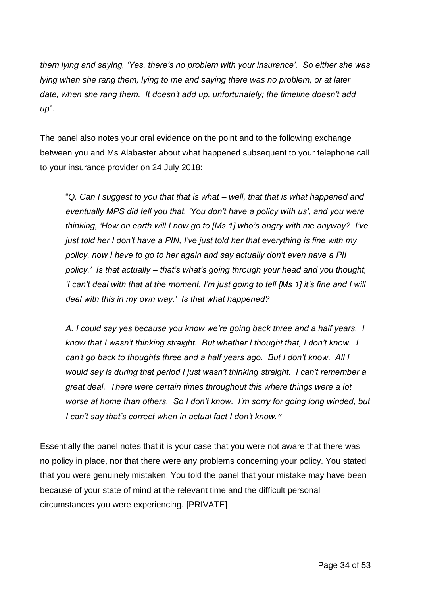*them lying and saying, 'Yes, there's no problem with your insurance'. So either she was lying when she rang them, lying to me and saying there was no problem, or at later date, when she rang them. It doesn't add up, unfortunately; the timeline doesn't add up*".

The panel also notes your oral evidence on the point and to the following exchange between you and Ms Alabaster about what happened subsequent to your telephone call to your insurance provider on 24 July 2018:

"*Q. Can I suggest to you that that is what – well, that that is what happened and eventually MPS did tell you that, 'You don't have a policy with us', and you were thinking, 'How on earth will I now go to [Ms 1] who's angry with me anyway? I've just told her I don't have a PIN, I've just told her that everything is fine with my policy, now I have to go to her again and say actually don't even have a PII policy.' Is that actually – that's what's going through your head and you thought, 'I can't deal with that at the moment, I'm just going to tell [Ms 1] it's fine and I will deal with this in my own way.' Is that what happened?*

*A. I could say yes because you know we're going back three and a half years. I know that I wasn't thinking straight. But whether I thought that, I don't know. I can't go back to thoughts three and a half years ago. But I don't know. All I would say is during that period I just wasn't thinking straight. I can't remember a great deal. There were certain times throughout this where things were a lot worse at home than others. So I don't know. I'm sorry for going long winded, but I can't say that's correct when in actual fact I don't know.*"

Essentially the panel notes that it is your case that you were not aware that there was no policy in place, nor that there were any problems concerning your policy. You stated that you were genuinely mistaken. You told the panel that your mistake may have been because of your state of mind at the relevant time and the difficult personal circumstances you were experiencing. [PRIVATE]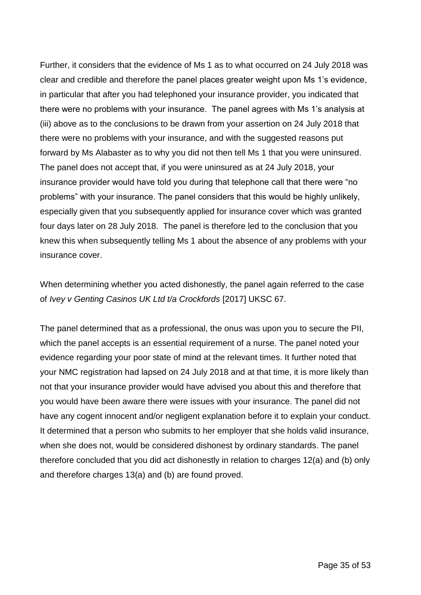Further, it considers that the evidence of Ms 1 as to what occurred on 24 July 2018 was clear and credible and therefore the panel places greater weight upon Ms 1's evidence, in particular that after you had telephoned your insurance provider, you indicated that there were no problems with your insurance. The panel agrees with Ms 1's analysis at (iii) above as to the conclusions to be drawn from your assertion on 24 July 2018 that there were no problems with your insurance, and with the suggested reasons put forward by Ms Alabaster as to why you did not then tell Ms 1 that you were uninsured. The panel does not accept that, if you were uninsured as at 24 July 2018, your insurance provider would have told you during that telephone call that there were "no problems" with your insurance. The panel considers that this would be highly unlikely, especially given that you subsequently applied for insurance cover which was granted four days later on 28 July 2018. The panel is therefore led to the conclusion that you knew this when subsequently telling Ms 1 about the absence of any problems with your insurance cover.

When determining whether you acted dishonestly, the panel again referred to the case of *Ivey v Genting Casinos UK Ltd t/a Crockfords* [2017] UKSC 67.

The panel determined that as a professional, the onus was upon you to secure the PII, which the panel accepts is an essential requirement of a nurse. The panel noted your evidence regarding your poor state of mind at the relevant times. It further noted that your NMC registration had lapsed on 24 July 2018 and at that time, it is more likely than not that your insurance provider would have advised you about this and therefore that you would have been aware there were issues with your insurance. The panel did not have any cogent innocent and/or negligent explanation before it to explain your conduct. It determined that a person who submits to her employer that she holds valid insurance, when she does not, would be considered dishonest by ordinary standards. The panel therefore concluded that you did act dishonestly in relation to charges 12(a) and (b) only and therefore charges 13(a) and (b) are found proved.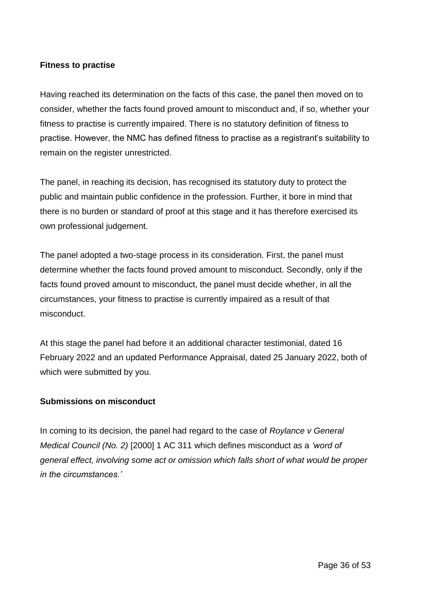### **Fitness to practise**

Having reached its determination on the facts of this case, the panel then moved on to consider, whether the facts found proved amount to misconduct and, if so, whether your fitness to practise is currently impaired. There is no statutory definition of fitness to practise. However, the NMC has defined fitness to practise as a registrant's suitability to remain on the register unrestricted.

The panel, in reaching its decision, has recognised its statutory duty to protect the public and maintain public confidence in the profession. Further, it bore in mind that there is no burden or standard of proof at this stage and it has therefore exercised its own professional judgement.

The panel adopted a two-stage process in its consideration. First, the panel must determine whether the facts found proved amount to misconduct. Secondly, only if the facts found proved amount to misconduct, the panel must decide whether, in all the circumstances, your fitness to practise is currently impaired as a result of that misconduct.

At this stage the panel had before it an additional character testimonial, dated 16 February 2022 and an updated Performance Appraisal, dated 25 January 2022, both of which were submitted by you.

# **Submissions on misconduct**

In coming to its decision, the panel had regard to the case of *Roylance v General Medical Council (No. 2)* [2000] 1 AC 311 which defines misconduct as a *'word of general effect, involving some act or omission which falls short of what would be proper in the circumstances.'*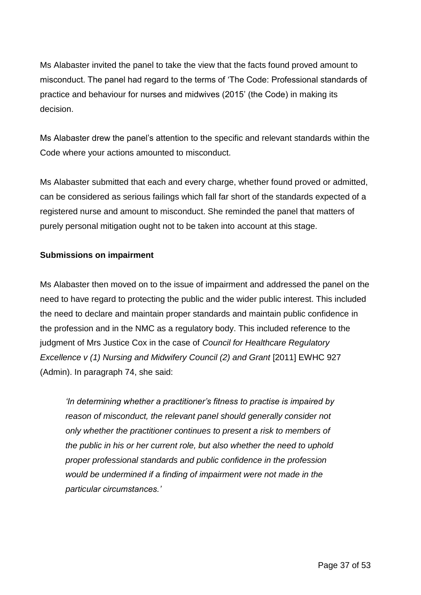Ms Alabaster invited the panel to take the view that the facts found proved amount to misconduct. The panel had regard to the terms of 'The Code: Professional standards of practice and behaviour for nurses and midwives (2015' (the Code) in making its decision.

Ms Alabaster drew the panel's attention to the specific and relevant standards within the Code where your actions amounted to misconduct.

Ms Alabaster submitted that each and every charge, whether found proved or admitted, can be considered as serious failings which fall far short of the standards expected of a registered nurse and amount to misconduct. She reminded the panel that matters of purely personal mitigation ought not to be taken into account at this stage.

# **Submissions on impairment**

Ms Alabaster then moved on to the issue of impairment and addressed the panel on the need to have regard to protecting the public and the wider public interest. This included the need to declare and maintain proper standards and maintain public confidence in the profession and in the NMC as a regulatory body. This included reference to the judgment of Mrs Justice Cox in the case of *Council for Healthcare Regulatory Excellence v (1) Nursing and Midwifery Council (2) and Grant [2011] EWHC 927* (Admin). In paragraph 74, she said:

*'In determining whether a practitioner's fitness to practise is impaired by reason of misconduct, the relevant panel should generally consider not only whether the practitioner continues to present a risk to members of the public in his or her current role, but also whether the need to uphold proper professional standards and public confidence in the profession would be undermined if a finding of impairment were not made in the particular circumstances.'*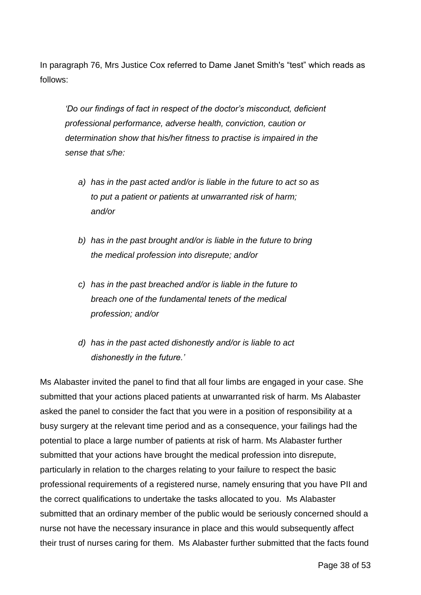In paragraph 76, Mrs Justice Cox referred to Dame Janet Smith's "test" which reads as follows:

*'Do our findings of fact in respect of the doctor's misconduct, deficient professional performance, adverse health, conviction, caution or determination show that his/her fitness to practise is impaired in the sense that s/he:*

- *a) has in the past acted and/or is liable in the future to act so as to put a patient or patients at unwarranted risk of harm; and/or*
- *b) has in the past brought and/or is liable in the future to bring the medical profession into disrepute; and/or*
- *c) has in the past breached and/or is liable in the future to breach one of the fundamental tenets of the medical profession; and/or*
- *d) has in the past acted dishonestly and/or is liable to act dishonestly in the future.'*

Ms Alabaster invited the panel to find that all four limbs are engaged in your case. She submitted that your actions placed patients at unwarranted risk of harm. Ms Alabaster asked the panel to consider the fact that you were in a position of responsibility at a busy surgery at the relevant time period and as a consequence, your failings had the potential to place a large number of patients at risk of harm. Ms Alabaster further submitted that your actions have brought the medical profession into disrepute, particularly in relation to the charges relating to your failure to respect the basic professional requirements of a registered nurse, namely ensuring that you have PII and the correct qualifications to undertake the tasks allocated to you. Ms Alabaster submitted that an ordinary member of the public would be seriously concerned should a nurse not have the necessary insurance in place and this would subsequently affect their trust of nurses caring for them. Ms Alabaster further submitted that the facts found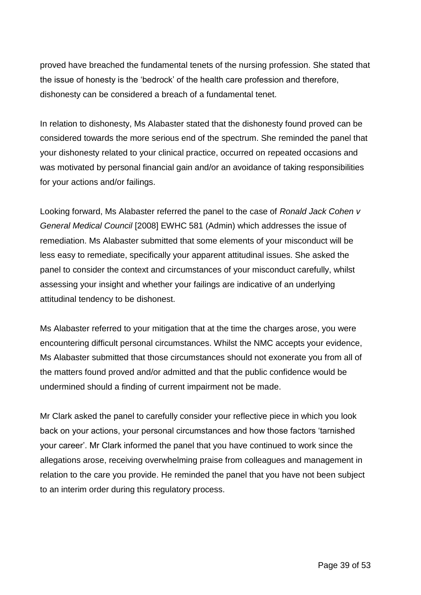proved have breached the fundamental tenets of the nursing profession. She stated that the issue of honesty is the 'bedrock' of the health care profession and therefore, dishonesty can be considered a breach of a fundamental tenet.

In relation to dishonesty, Ms Alabaster stated that the dishonesty found proved can be considered towards the more serious end of the spectrum. She reminded the panel that your dishonesty related to your clinical practice, occurred on repeated occasions and was motivated by personal financial gain and/or an avoidance of taking responsibilities for your actions and/or failings.

Looking forward, Ms Alabaster referred the panel to the case of *Ronald Jack Cohen v General Medical Council* [2008] EWHC 581 (Admin) which addresses the issue of remediation. Ms Alabaster submitted that some elements of your misconduct will be less easy to remediate, specifically your apparent attitudinal issues. She asked the panel to consider the context and circumstances of your misconduct carefully, whilst assessing your insight and whether your failings are indicative of an underlying attitudinal tendency to be dishonest.

Ms Alabaster referred to your mitigation that at the time the charges arose, you were encountering difficult personal circumstances. Whilst the NMC accepts your evidence, Ms Alabaster submitted that those circumstances should not exonerate you from all of the matters found proved and/or admitted and that the public confidence would be undermined should a finding of current impairment not be made.

Mr Clark asked the panel to carefully consider your reflective piece in which you look back on your actions, your personal circumstances and how those factors 'tarnished your career'. Mr Clark informed the panel that you have continued to work since the allegations arose, receiving overwhelming praise from colleagues and management in relation to the care you provide. He reminded the panel that you have not been subject to an interim order during this regulatory process.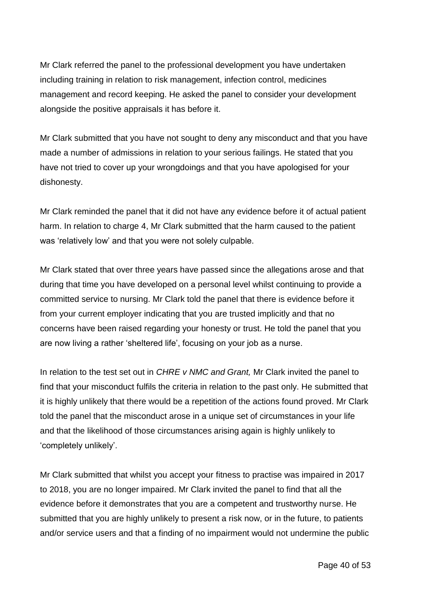Mr Clark referred the panel to the professional development you have undertaken including training in relation to risk management, infection control, medicines management and record keeping. He asked the panel to consider your development alongside the positive appraisals it has before it.

Mr Clark submitted that you have not sought to deny any misconduct and that you have made a number of admissions in relation to your serious failings. He stated that you have not tried to cover up your wrongdoings and that you have apologised for your dishonesty.

Mr Clark reminded the panel that it did not have any evidence before it of actual patient harm. In relation to charge 4, Mr Clark submitted that the harm caused to the patient was 'relatively low' and that you were not solely culpable.

Mr Clark stated that over three years have passed since the allegations arose and that during that time you have developed on a personal level whilst continuing to provide a committed service to nursing. Mr Clark told the panel that there is evidence before it from your current employer indicating that you are trusted implicitly and that no concerns have been raised regarding your honesty or trust. He told the panel that you are now living a rather 'sheltered life', focusing on your job as a nurse.

In relation to the test set out in *CHRE v NMC and Grant,* Mr Clark invited the panel to find that your misconduct fulfils the criteria in relation to the past only. He submitted that it is highly unlikely that there would be a repetition of the actions found proved. Mr Clark told the panel that the misconduct arose in a unique set of circumstances in your life and that the likelihood of those circumstances arising again is highly unlikely to 'completely unlikely'.

Mr Clark submitted that whilst you accept your fitness to practise was impaired in 2017 to 2018, you are no longer impaired. Mr Clark invited the panel to find that all the evidence before it demonstrates that you are a competent and trustworthy nurse. He submitted that you are highly unlikely to present a risk now, or in the future, to patients and/or service users and that a finding of no impairment would not undermine the public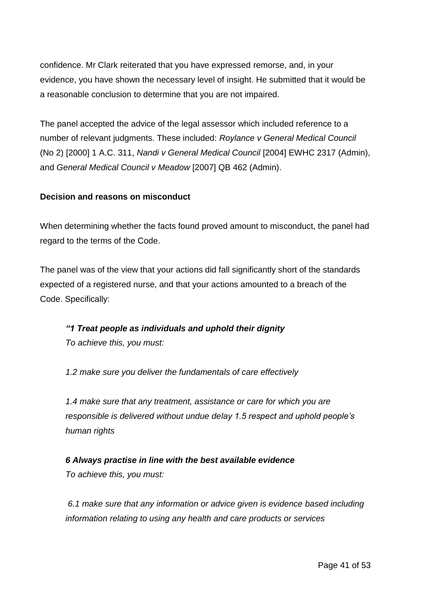confidence. Mr Clark reiterated that you have expressed remorse, and, in your evidence, you have shown the necessary level of insight. He submitted that it would be a reasonable conclusion to determine that you are not impaired.

The panel accepted the advice of the legal assessor which included reference to a number of relevant judgments. These included: *Roylance v General Medical Council* (No 2) [2000] 1 A.C. 311, *Nandi v General Medical Council* [2004] EWHC 2317 (Admin), and *General Medical Council v Meadow* [2007] QB 462 (Admin).

# **Decision and reasons on misconduct**

When determining whether the facts found proved amount to misconduct, the panel had regard to the terms of the Code.

The panel was of the view that your actions did fall significantly short of the standards expected of a registered nurse, and that your actions amounted to a breach of the Code. Specifically:

*"1 Treat people as individuals and uphold their dignity To achieve this, you must:* 

*1.2 make sure you deliver the fundamentals of care effectively* 

*1.4 make sure that any treatment, assistance or care for which you are responsible is delivered without undue delay 1.5 respect and uphold people's human rights*

*6 Always practise in line with the best available evidence To achieve this, you must:*

*6.1 make sure that any information or advice given is evidence based including information relating to using any health and care products or services*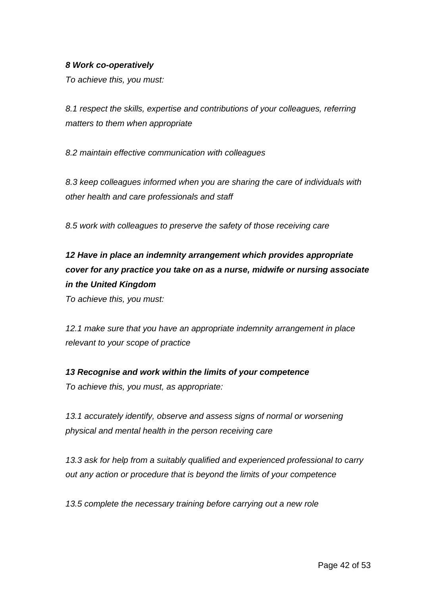## *8 Work co-operatively*

*To achieve this, you must:*

*8.1 respect the skills, expertise and contributions of your colleagues, referring matters to them when appropriate*

*8.2 maintain effective communication with colleagues* 

*8.3 keep colleagues informed when you are sharing the care of individuals with other health and care professionals and staff*

*8.5 work with colleagues to preserve the safety of those receiving care*

*12 Have in place an indemnity arrangement which provides appropriate cover for any practice you take on as a nurse, midwife or nursing associate in the United Kingdom*

*To achieve this, you must:* 

*12.1 make sure that you have an appropriate indemnity arrangement in place relevant to your scope of practice*

*13 Recognise and work within the limits of your competence To achieve this, you must, as appropriate:* 

*13.1 accurately identify, observe and assess signs of normal or worsening physical and mental health in the person receiving care* 

*13.3 ask for help from a suitably qualified and experienced professional to carry out any action or procedure that is beyond the limits of your competence*

*13.5 complete the necessary training before carrying out a new role*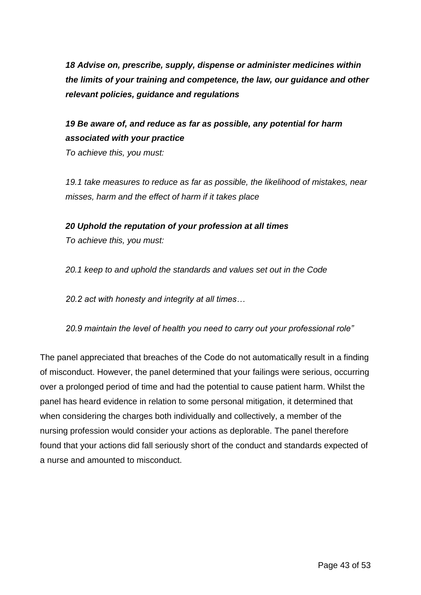*18 Advise on, prescribe, supply, dispense or administer medicines within the limits of your training and competence, the law, our guidance and other relevant policies, guidance and regulations*

# *19 Be aware of, and reduce as far as possible, any potential for harm associated with your practice*

*To achieve this, you must:* 

*19.1 take measures to reduce as far as possible, the likelihood of mistakes, near misses, harm and the effect of harm if it takes place*

*20 Uphold the reputation of your profession at all times* 

*To achieve this, you must:* 

*20.1 keep to and uphold the standards and values set out in the Code* 

*20.2 act with honesty and integrity at all times…*

*20.9 maintain the level of health you need to carry out your professional role"*

The panel appreciated that breaches of the Code do not automatically result in a finding of misconduct. However, the panel determined that your failings were serious, occurring over a prolonged period of time and had the potential to cause patient harm. Whilst the panel has heard evidence in relation to some personal mitigation, it determined that when considering the charges both individually and collectively, a member of the nursing profession would consider your actions as deplorable. The panel therefore found that your actions did fall seriously short of the conduct and standards expected of a nurse and amounted to misconduct.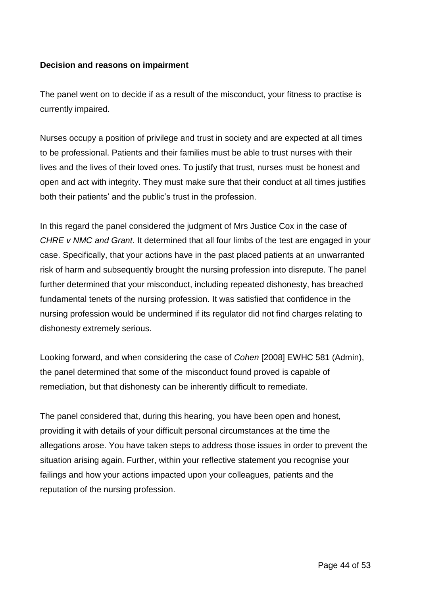## **Decision and reasons on impairment**

The panel went on to decide if as a result of the misconduct, your fitness to practise is currently impaired.

Nurses occupy a position of privilege and trust in society and are expected at all times to be professional. Patients and their families must be able to trust nurses with their lives and the lives of their loved ones. To justify that trust, nurses must be honest and open and act with integrity. They must make sure that their conduct at all times justifies both their patients' and the public's trust in the profession.

In this regard the panel considered the judgment of Mrs Justice Cox in the case of *CHRE v NMC and Grant*. It determined that all four limbs of the test are engaged in your case. Specifically, that your actions have in the past placed patients at an unwarranted risk of harm and subsequently brought the nursing profession into disrepute. The panel further determined that your misconduct, including repeated dishonesty, has breached fundamental tenets of the nursing profession. It was satisfied that confidence in the nursing profession would be undermined if its regulator did not find charges relating to dishonesty extremely serious.

Looking forward, and when considering the case of *Cohen* [2008] EWHC 581 (Admin), the panel determined that some of the misconduct found proved is capable of remediation, but that dishonesty can be inherently difficult to remediate.

The panel considered that, during this hearing, you have been open and honest, providing it with details of your difficult personal circumstances at the time the allegations arose. You have taken steps to address those issues in order to prevent the situation arising again. Further, within your reflective statement you recognise your failings and how your actions impacted upon your colleagues, patients and the reputation of the nursing profession.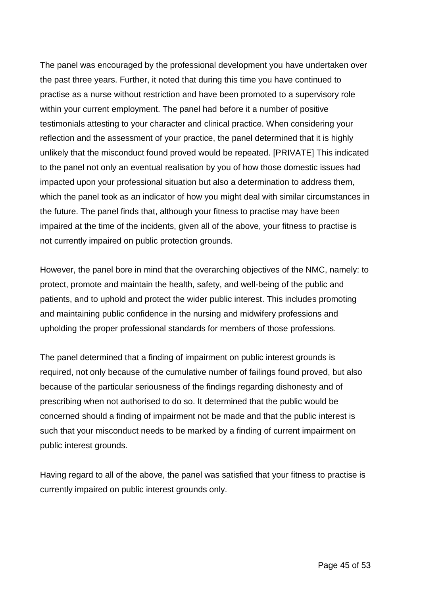The panel was encouraged by the professional development you have undertaken over the past three years. Further, it noted that during this time you have continued to practise as a nurse without restriction and have been promoted to a supervisory role within your current employment. The panel had before it a number of positive testimonials attesting to your character and clinical practice. When considering your reflection and the assessment of your practice, the panel determined that it is highly unlikely that the misconduct found proved would be repeated. [PRIVATE] This indicated to the panel not only an eventual realisation by you of how those domestic issues had impacted upon your professional situation but also a determination to address them, which the panel took as an indicator of how you might deal with similar circumstances in the future. The panel finds that, although your fitness to practise may have been impaired at the time of the incidents, given all of the above, your fitness to practise is not currently impaired on public protection grounds.

However, the panel bore in mind that the overarching objectives of the NMC, namely: to protect, promote and maintain the health, safety, and well-being of the public and patients, and to uphold and protect the wider public interest. This includes promoting and maintaining public confidence in the nursing and midwifery professions and upholding the proper professional standards for members of those professions.

The panel determined that a finding of impairment on public interest grounds is required, not only because of the cumulative number of failings found proved, but also because of the particular seriousness of the findings regarding dishonesty and of prescribing when not authorised to do so. It determined that the public would be concerned should a finding of impairment not be made and that the public interest is such that your misconduct needs to be marked by a finding of current impairment on public interest grounds.

Having regard to all of the above, the panel was satisfied that your fitness to practise is currently impaired on public interest grounds only.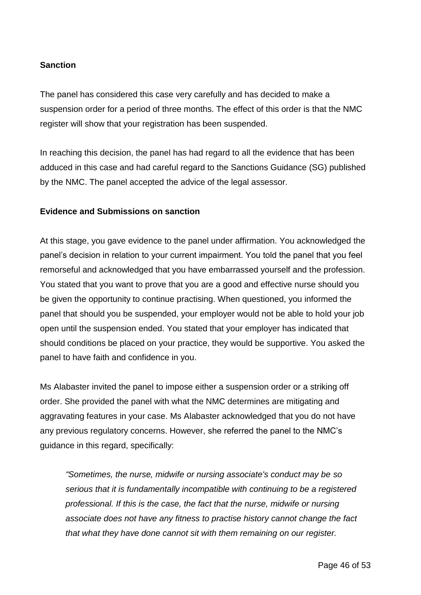## **Sanction**

The panel has considered this case very carefully and has decided to make a suspension order for a period of three months. The effect of this order is that the NMC register will show that your registration has been suspended.

In reaching this decision, the panel has had regard to all the evidence that has been adduced in this case and had careful regard to the Sanctions Guidance (SG) published by the NMC. The panel accepted the advice of the legal assessor.

### **Evidence and Submissions on sanction**

At this stage, you gave evidence to the panel under affirmation. You acknowledged the panel's decision in relation to your current impairment. You told the panel that you feel remorseful and acknowledged that you have embarrassed yourself and the profession. You stated that you want to prove that you are a good and effective nurse should you be given the opportunity to continue practising. When questioned, you informed the panel that should you be suspended, your employer would not be able to hold your job open until the suspension ended. You stated that your employer has indicated that should conditions be placed on your practice, they would be supportive. You asked the panel to have faith and confidence in you.

Ms Alabaster invited the panel to impose either a suspension order or a striking off order. She provided the panel with what the NMC determines are mitigating and aggravating features in your case. Ms Alabaster acknowledged that you do not have any previous regulatory concerns. However, she referred the panel to the NMC's guidance in this regard, specifically:

*"Sometimes, the nurse, midwife or nursing associate's conduct may be [so](https://www.nmc.org.uk/ftp-library/sanctions/sanctions-serious-cases/)  [serious](https://www.nmc.org.uk/ftp-library/sanctions/sanctions-serious-cases/) that it is fundamentally incompatible with continuing to be a registered professional. If this is the case, the fact that the nurse, midwife or nursing associate does not have any fitness to practise history cannot change the fact that what they have done cannot sit with them remaining on our register.*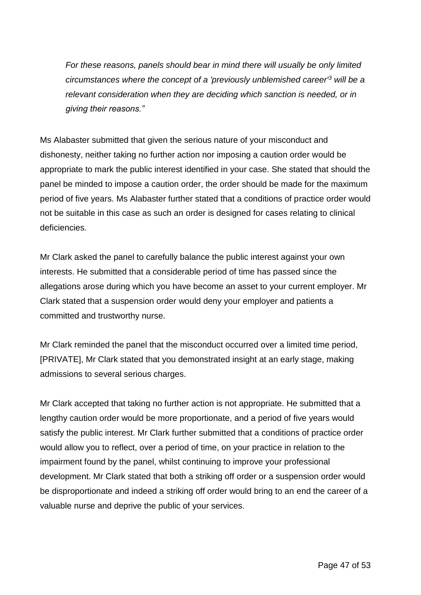*For these reasons, panels should bear in mind there will usually be only limited circumstances where the concept of a 'previously unblemished career'<sup>3</sup> will be a relevant consideration when they are deciding which sanction is needed, or in giving their reasons."*

Ms Alabaster submitted that given the serious nature of your misconduct and dishonesty, neither taking no further action nor imposing a caution order would be appropriate to mark the public interest identified in your case. She stated that should the panel be minded to impose a caution order, the order should be made for the maximum period of five years. Ms Alabaster further stated that a conditions of practice order would not be suitable in this case as such an order is designed for cases relating to clinical deficiencies.

Mr Clark asked the panel to carefully balance the public interest against your own interests. He submitted that a considerable period of time has passed since the allegations arose during which you have become an asset to your current employer. Mr Clark stated that a suspension order would deny your employer and patients a committed and trustworthy nurse.

Mr Clark reminded the panel that the misconduct occurred over a limited time period, [PRIVATE], Mr Clark stated that you demonstrated insight at an early stage, making admissions to several serious charges.

Mr Clark accepted that taking no further action is not appropriate. He submitted that a lengthy caution order would be more proportionate, and a period of five years would satisfy the public interest. Mr Clark further submitted that a conditions of practice order would allow you to reflect, over a period of time, on your practice in relation to the impairment found by the panel, whilst continuing to improve your professional development. Mr Clark stated that both a striking off order or a suspension order would be disproportionate and indeed a striking off order would bring to an end the career of a valuable nurse and deprive the public of your services.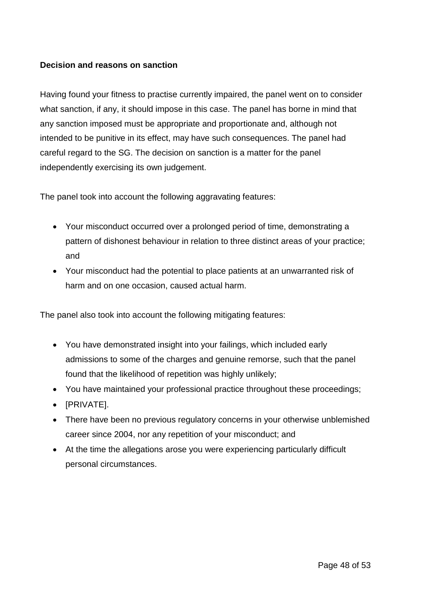## **Decision and reasons on sanction**

Having found your fitness to practise currently impaired, the panel went on to consider what sanction, if any, it should impose in this case. The panel has borne in mind that any sanction imposed must be appropriate and proportionate and, although not intended to be punitive in its effect, may have such consequences. The panel had careful regard to the SG. The decision on sanction is a matter for the panel independently exercising its own judgement.

The panel took into account the following aggravating features:

- Your misconduct occurred over a prolonged period of time, demonstrating a pattern of dishonest behaviour in relation to three distinct areas of your practice; and
- Your misconduct had the potential to place patients at an unwarranted risk of harm and on one occasion, caused actual harm.

The panel also took into account the following mitigating features:

- You have demonstrated insight into your failings, which included early admissions to some of the charges and genuine remorse, such that the panel found that the likelihood of repetition was highly unlikely;
- You have maintained your professional practice throughout these proceedings;
- [PRIVATE].
- There have been no previous regulatory concerns in your otherwise unblemished career since 2004, nor any repetition of your misconduct; and
- At the time the allegations arose you were experiencing particularly difficult personal circumstances.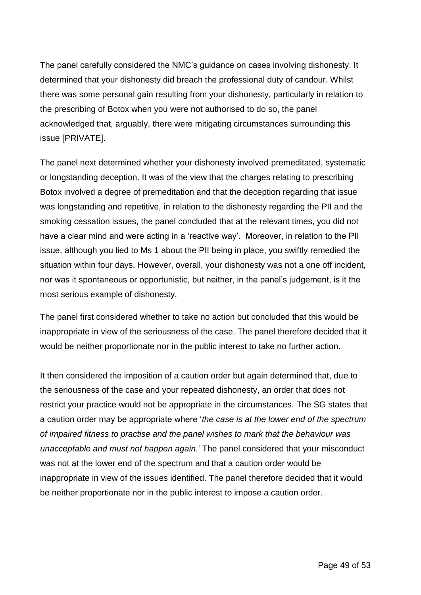The panel carefully considered the NMC's guidance on cases involving dishonesty. It determined that your dishonesty did breach the professional duty of candour. Whilst there was some personal gain resulting from your dishonesty, particularly in relation to the prescribing of Botox when you were not authorised to do so, the panel acknowledged that, arguably, there were mitigating circumstances surrounding this issue [PRIVATE].

The panel next determined whether your dishonesty involved premeditated, systematic or longstanding deception. It was of the view that the charges relating to prescribing Botox involved a degree of premeditation and that the deception regarding that issue was longstanding and repetitive, in relation to the dishonesty regarding the PII and the smoking cessation issues, the panel concluded that at the relevant times, you did not have a clear mind and were acting in a 'reactive way'. Moreover, in relation to the PII issue, although you lied to Ms 1 about the PII being in place, you swiftly remedied the situation within four days. However, overall, your dishonesty was not a one off incident, nor was it spontaneous or opportunistic, but neither, in the panel's judgement, is it the most serious example of dishonesty.

The panel first considered whether to take no action but concluded that this would be inappropriate in view of the seriousness of the case. The panel therefore decided that it would be neither proportionate nor in the public interest to take no further action.

It then considered the imposition of a caution order but again determined that, due to the seriousness of the case and your repeated dishonesty, an order that does not restrict your practice would not be appropriate in the circumstances. The SG states that a caution order may be appropriate where '*the case is at the lower end of the spectrum of impaired fitness to practise and the panel wishes to mark that the behaviour was unacceptable and must not happen again.'* The panel considered that your misconduct was not at the lower end of the spectrum and that a caution order would be inappropriate in view of the issues identified. The panel therefore decided that it would be neither proportionate nor in the public interest to impose a caution order.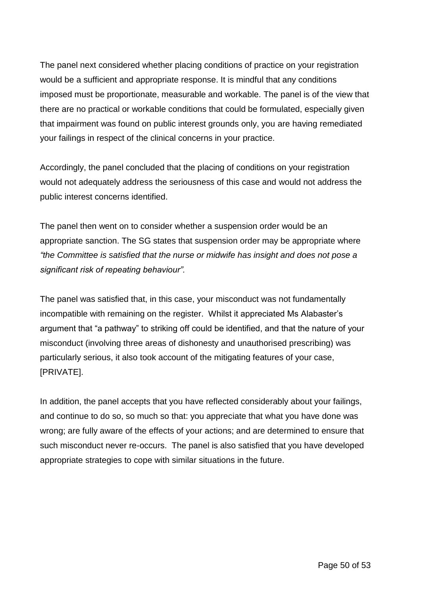The panel next considered whether placing conditions of practice on your registration would be a sufficient and appropriate response. It is mindful that any conditions imposed must be proportionate, measurable and workable. The panel is of the view that there are no practical or workable conditions that could be formulated, especially given that impairment was found on public interest grounds only, you are having remediated your failings in respect of the clinical concerns in your practice.

Accordingly, the panel concluded that the placing of conditions on your registration would not adequately address the seriousness of this case and would not address the public interest concerns identified.

The panel then went on to consider whether a suspension order would be an appropriate sanction. The SG states that suspension order may be appropriate where *"the Committee is satisfied that the nurse or midwife has insight and does not pose a significant risk of repeating behaviour".* 

The panel was satisfied that, in this case, your misconduct was not fundamentally incompatible with remaining on the register. Whilst it appreciated Ms Alabaster's argument that "a pathway" to striking off could be identified, and that the nature of your misconduct (involving three areas of dishonesty and unauthorised prescribing) was particularly serious, it also took account of the mitigating features of your case, [PRIVATE].

In addition, the panel accepts that you have reflected considerably about your failings, and continue to do so, so much so that: you appreciate that what you have done was wrong; are fully aware of the effects of your actions; and are determined to ensure that such misconduct never re-occurs. The panel is also satisfied that you have developed appropriate strategies to cope with similar situations in the future.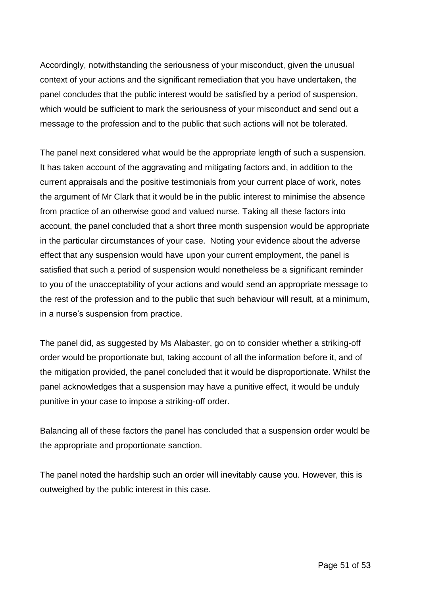Accordingly, notwithstanding the seriousness of your misconduct, given the unusual context of your actions and the significant remediation that you have undertaken, the panel concludes that the public interest would be satisfied by a period of suspension, which would be sufficient to mark the seriousness of your misconduct and send out a message to the profession and to the public that such actions will not be tolerated.

The panel next considered what would be the appropriate length of such a suspension. It has taken account of the aggravating and mitigating factors and, in addition to the current appraisals and the positive testimonials from your current place of work, notes the argument of Mr Clark that it would be in the public interest to minimise the absence from practice of an otherwise good and valued nurse. Taking all these factors into account, the panel concluded that a short three month suspension would be appropriate in the particular circumstances of your case. Noting your evidence about the adverse effect that any suspension would have upon your current employment, the panel is satisfied that such a period of suspension would nonetheless be a significant reminder to you of the unacceptability of your actions and would send an appropriate message to the rest of the profession and to the public that such behaviour will result, at a minimum, in a nurse's suspension from practice.

The panel did, as suggested by Ms Alabaster, go on to consider whether a striking-off order would be proportionate but, taking account of all the information before it, and of the mitigation provided, the panel concluded that it would be disproportionate. Whilst the panel acknowledges that a suspension may have a punitive effect, it would be unduly punitive in your case to impose a striking-off order.

Balancing all of these factors the panel has concluded that a suspension order would be the appropriate and proportionate sanction.

The panel noted the hardship such an order will inevitably cause you. However, this is outweighed by the public interest in this case.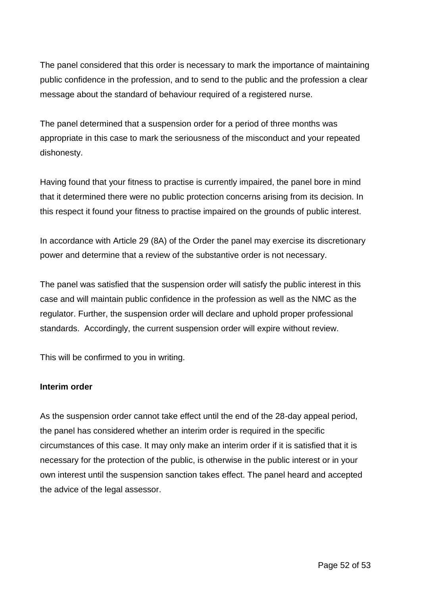The panel considered that this order is necessary to mark the importance of maintaining public confidence in the profession, and to send to the public and the profession a clear message about the standard of behaviour required of a registered nurse.

The panel determined that a suspension order for a period of three months was appropriate in this case to mark the seriousness of the misconduct and your repeated dishonesty.

Having found that your fitness to practise is currently impaired, the panel bore in mind that it determined there were no public protection concerns arising from its decision. In this respect it found your fitness to practise impaired on the grounds of public interest.

In accordance with Article 29 (8A) of the Order the panel may exercise its discretionary power and determine that a review of the substantive order is not necessary.

The panel was satisfied that the suspension order will satisfy the public interest in this case and will maintain public confidence in the profession as well as the NMC as the regulator. Further, the suspension order will declare and uphold proper professional standards. Accordingly, the current suspension order will expire without review.

This will be confirmed to you in writing.

### **Interim order**

As the suspension order cannot take effect until the end of the 28-day appeal period, the panel has considered whether an interim order is required in the specific circumstances of this case. It may only make an interim order if it is satisfied that it is necessary for the protection of the public, is otherwise in the public interest or in your own interest until the suspension sanction takes effect. The panel heard and accepted the advice of the legal assessor.